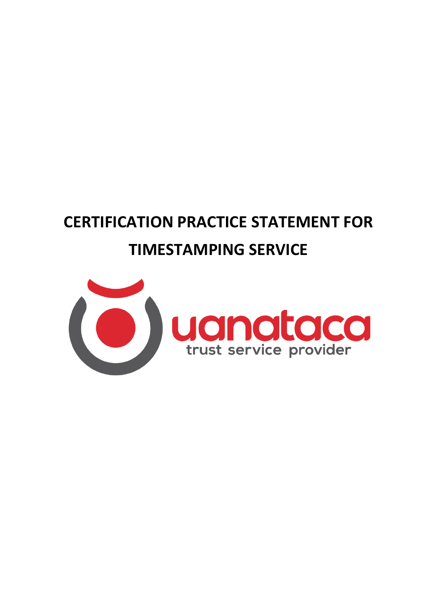# **CERTIFICATION PRACTICE STATEMENT FOR TIMESTAMPING SERVICE**

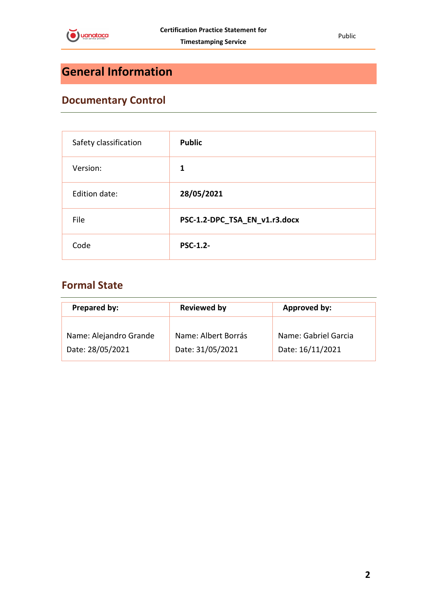

# <span id="page-1-0"></span>**General Information**

# <span id="page-1-1"></span>**Documentary Control**

| Safety classification | <b>Public</b>                 |
|-----------------------|-------------------------------|
| Version:              | 1                             |
| Edition date:         | 28/05/2021                    |
| File                  | PSC-1.2-DPC_TSA_EN_v1.r3.docx |
| Code                  | <b>PSC-1.2-</b>               |

# <span id="page-1-2"></span>**Formal State**

| Prepared by:           | <b>Reviewed by</b>  | Approved by:         |  |
|------------------------|---------------------|----------------------|--|
| Name: Alejandro Grande | Name: Albert Borrás | Name: Gabriel Garcia |  |
| Date: 28/05/2021       | Date: 31/05/2021    | Date: 16/11/2021     |  |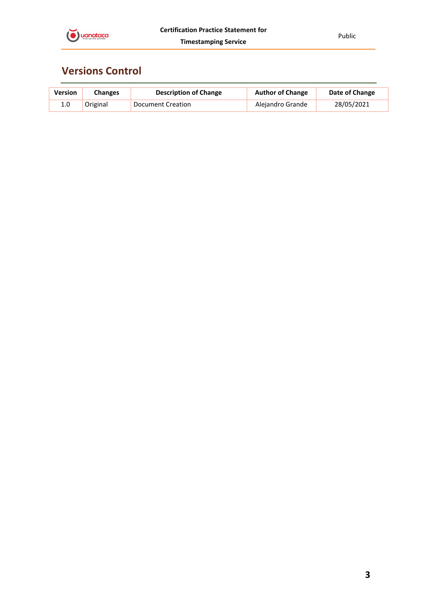

# <span id="page-2-0"></span>**Versions Control**

| <b>Version</b> | <b>Changes</b> | <b>Description of Change</b> | <b>Author of Change</b> | Date of Change |
|----------------|----------------|------------------------------|-------------------------|----------------|
|                | Original       | Document Creation            | Alejandro Grande        | 28/05/2021     |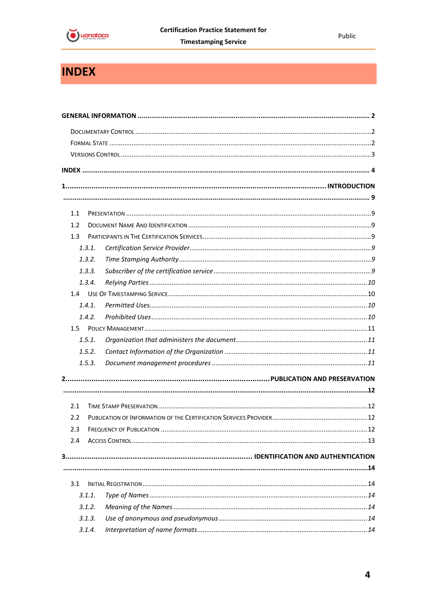

# <span id="page-3-0"></span>**INDEX**

| 1.1     |        |  |
|---------|--------|--|
| 1.2     |        |  |
| 1.3     |        |  |
|         | 1.3.1. |  |
|         | 1.3.2. |  |
|         | 1.3.3. |  |
|         | 1.3.4. |  |
|         |        |  |
|         | 1.4.1. |  |
|         | 1.4.2. |  |
| $1.5 -$ |        |  |
|         | 1.5.1. |  |
|         | 1.5.2. |  |
|         | 1.5.3. |  |
|         |        |  |
|         |        |  |
| 2.1     |        |  |
| 2.2     |        |  |
| 2.3     |        |  |
| 2.4     |        |  |
|         |        |  |
|         |        |  |
| 3.1     |        |  |
|         | 3.1.1. |  |
|         | 3.1.2. |  |
|         | 3.1.3. |  |
|         | 3.1.4. |  |
|         |        |  |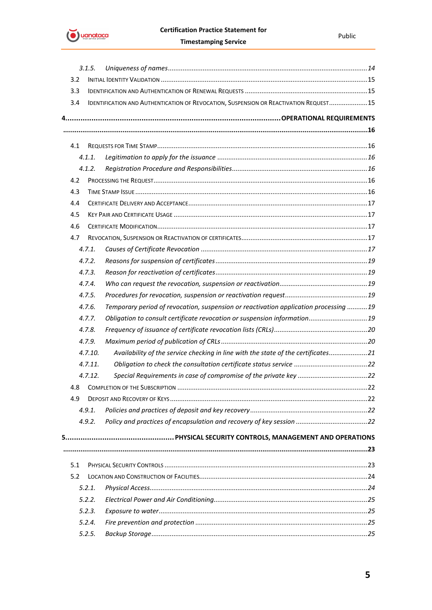

|     | 3.1.5.  |                                                                                       |     |
|-----|---------|---------------------------------------------------------------------------------------|-----|
| 3.2 |         |                                                                                       |     |
| 3.3 |         |                                                                                       |     |
| 3.4 |         | IDENTIFICATION AND AUTHENTICATION OF REVOCATION, SUSPENSION OR REACTIVATION REQUEST15 |     |
|     |         |                                                                                       |     |
|     |         |                                                                                       |     |
| 4.1 |         |                                                                                       |     |
|     | 4.1.1.  |                                                                                       |     |
|     | 4.1.2.  |                                                                                       |     |
| 4.2 |         |                                                                                       |     |
| 4.3 |         |                                                                                       |     |
| 4.4 |         |                                                                                       |     |
| 4.5 |         |                                                                                       |     |
| 4.6 |         |                                                                                       |     |
| 4.7 |         |                                                                                       |     |
|     | 4.7.1   |                                                                                       |     |
|     | 4.7.2.  |                                                                                       |     |
|     | 4.7.3.  |                                                                                       |     |
|     | 4.7.4.  |                                                                                       |     |
|     | 4.7.5.  |                                                                                       |     |
|     | 4.7.6.  | Temporary period of revocation, suspension or reactivation application processing 19  |     |
|     | 4.7.7.  | Obligation to consult certificate revocation or suspension information 19             |     |
|     | 4.7.8.  |                                                                                       |     |
|     | 4.7.9.  |                                                                                       |     |
|     | 4.7.10. | Availability of the service checking in line with the state of the certificates21     |     |
|     | 4.7.11. |                                                                                       |     |
|     | 4.7.12. |                                                                                       |     |
|     |         |                                                                                       | .22 |
| 4.9 |         |                                                                                       |     |
|     | 4.9.1.  |                                                                                       |     |
|     | 4.9.2.  |                                                                                       |     |
|     |         |                                                                                       |     |
|     |         |                                                                                       |     |
|     |         |                                                                                       |     |
| 5.1 |         |                                                                                       |     |
| 5.2 |         |                                                                                       |     |
|     | 5.2.1.  |                                                                                       |     |
|     | 5.2.2.  |                                                                                       |     |
|     | 5.2.3.  |                                                                                       |     |
|     | 5.2.4.  |                                                                                       |     |
|     | 5.2.5.  |                                                                                       |     |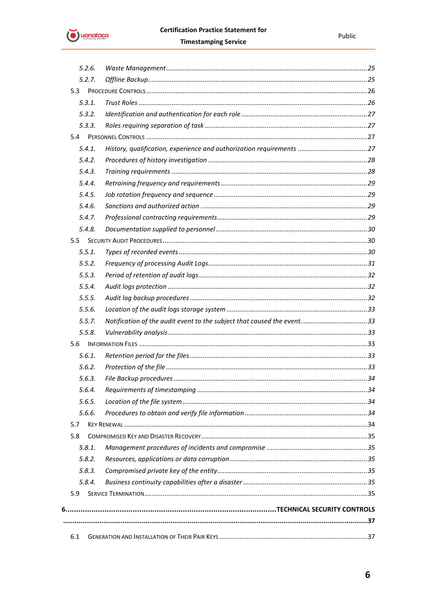

|               | 5.2.6. |                                                                          |  |
|---------------|--------|--------------------------------------------------------------------------|--|
|               | 5.2.7. |                                                                          |  |
| 5.3           |        |                                                                          |  |
|               | 5.3.1. |                                                                          |  |
|               | 5.3.2. |                                                                          |  |
|               | 5.3.3. |                                                                          |  |
| 5.4           |        |                                                                          |  |
|               | 5.4.1. |                                                                          |  |
|               | 5.4.2. |                                                                          |  |
|               | 5.4.3. |                                                                          |  |
|               | 5.4.4. |                                                                          |  |
|               | 5.4.5. |                                                                          |  |
|               | 5.4.6. |                                                                          |  |
|               | 5.4.7. |                                                                          |  |
|               | 5.4.8. |                                                                          |  |
| $5.5^{\circ}$ |        |                                                                          |  |
|               | 5.5.1. |                                                                          |  |
|               | 5.5.2. |                                                                          |  |
|               | 5.5.3. |                                                                          |  |
|               | 5.5.4. |                                                                          |  |
|               | 5.5.5. |                                                                          |  |
|               | 5.5.6. |                                                                          |  |
|               | 5.5.7. | Notification of the audit event to the subject that caused the event. 33 |  |
|               | 5.5.8. |                                                                          |  |
| 5.6           |        |                                                                          |  |
|               | 5.6.1. |                                                                          |  |
|               | 5.6.2. |                                                                          |  |
|               | 5.6.3. |                                                                          |  |
|               | 5.6.4. |                                                                          |  |
|               | 5.6.5. |                                                                          |  |
|               | 5.6.6. |                                                                          |  |
| 5.7           |        |                                                                          |  |
| 5.8           |        |                                                                          |  |
|               | 5.8.1. |                                                                          |  |
|               | 5.8.2. |                                                                          |  |
|               | 5.8.3. |                                                                          |  |
|               | 5.8.4. |                                                                          |  |
| 5.9           |        |                                                                          |  |
|               |        |                                                                          |  |
|               |        |                                                                          |  |
|               |        |                                                                          |  |
| 6.1           |        |                                                                          |  |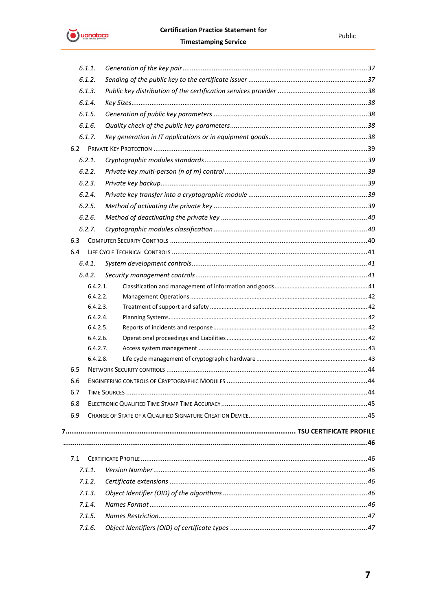

|     | 6.1.1.   |  |
|-----|----------|--|
|     | 6.1.2.   |  |
|     | 6.1.3.   |  |
|     | 6.1.4.   |  |
|     | 6.1.5.   |  |
|     | 6.1.6.   |  |
|     | 6.1.7.   |  |
| 6.2 |          |  |
|     | 6.2.1.   |  |
|     | 6.2.2.   |  |
|     | 6.2.3.   |  |
|     | 6.2.4.   |  |
|     | 6.2.5.   |  |
|     | 6.2.6.   |  |
|     | 6.2.7.   |  |
| 6.3 |          |  |
| 6.4 |          |  |
|     | 6.4.1.   |  |
|     | 6.4.2.   |  |
|     | 6.4.2.1. |  |
|     | 6.4.2.2. |  |
|     | 6.4.2.3. |  |
|     | 6.4.2.4. |  |
|     | 6.4.2.5. |  |
|     | 6.4.2.6. |  |
|     | 6.4.2.7. |  |
| 6.5 | 6.4.2.8. |  |
|     |          |  |
| 6.6 |          |  |
| 6.7 |          |  |
| 6.8 |          |  |
| 6.9 |          |  |
|     |          |  |
|     |          |  |
| 7.1 |          |  |
|     | 7.1.1.   |  |
|     | 7.1.2.   |  |
|     | 7.1.3.   |  |
|     | 7.1.4.   |  |
|     | 7.1.5.   |  |
|     | 7.1.6.   |  |
|     |          |  |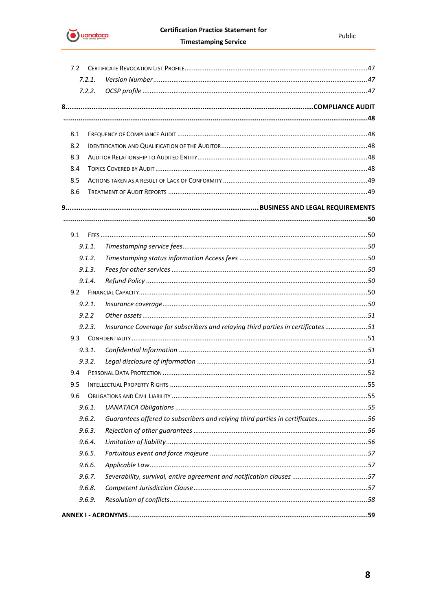

|     | 7.2    |                                                                                  |  |
|-----|--------|----------------------------------------------------------------------------------|--|
|     | 7.2.1. |                                                                                  |  |
|     | 7.2.2. |                                                                                  |  |
|     |        |                                                                                  |  |
|     |        |                                                                                  |  |
|     |        |                                                                                  |  |
| 8.1 |        |                                                                                  |  |
| 8.2 |        |                                                                                  |  |
| 8.3 |        |                                                                                  |  |
| 8.4 |        |                                                                                  |  |
| 8.5 |        |                                                                                  |  |
| 8.6 |        |                                                                                  |  |
|     |        |                                                                                  |  |
|     |        |                                                                                  |  |
|     |        |                                                                                  |  |
|     | 9.1.1. |                                                                                  |  |
|     | 9.1.2. |                                                                                  |  |
|     | 9.1.3. |                                                                                  |  |
|     | 9.1.4. |                                                                                  |  |
|     |        |                                                                                  |  |
|     | 9.2.1. |                                                                                  |  |
|     | 9.2.2  |                                                                                  |  |
|     | 9.2.3. | Insurance Coverage for subscribers and relaying third parties in certificates 51 |  |
|     | 9.3    |                                                                                  |  |
|     | 9.3.1. |                                                                                  |  |
|     | 9.3.2. |                                                                                  |  |
| 9.4 |        |                                                                                  |  |
| 9.5 |        |                                                                                  |  |
| 9.6 |        |                                                                                  |  |
|     | 9.6.1. |                                                                                  |  |
|     | 9.6.2. | Guarantees offered to subscribers and relying third parties in certificates56    |  |
|     | 9.6.3. |                                                                                  |  |
|     | 9.6.4. |                                                                                  |  |
|     | 9.6.5. |                                                                                  |  |
|     | 9.6.6. |                                                                                  |  |
|     | 9.6.7. |                                                                                  |  |
|     | 9.6.8. |                                                                                  |  |
|     | 9.6.9. |                                                                                  |  |
|     |        |                                                                                  |  |
|     |        |                                                                                  |  |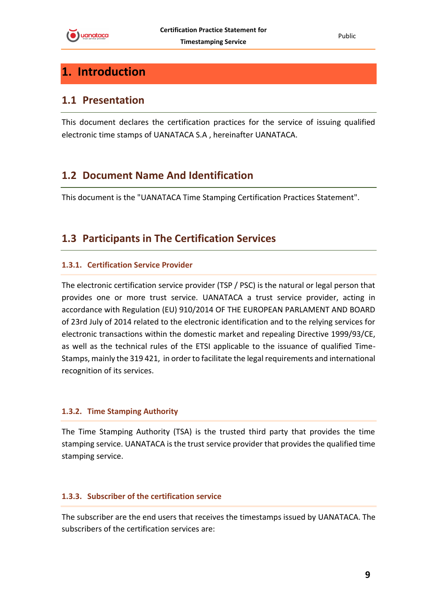# <span id="page-8-0"></span>**1. Introduction**

### <span id="page-8-1"></span>**1.1 Presentation**

This document declares the certification practices for the service of issuing qualified electronic time stamps of UANATACA S.A , hereinafter UANATACA.

# <span id="page-8-2"></span>**1.2 Document Name And Identification**

This document is the "UANATACA Time Stamping Certification Practices Statement".

# <span id="page-8-3"></span>**1.3 Participants in The Certification Services**

#### <span id="page-8-4"></span>**1.3.1. Certification Service Provider**

The electronic certification service provider (TSP / PSC) is the natural or legal person that provides one or more trust service. UANATACA a trust service provider, acting in accordance with Regulation (EU) 910/2014 OF THE EUROPEAN PARLAMENT AND BOARD of 23rd July of 2014 related to the electronic identification and to the relying services for electronic transactions within the domestic market and repealing Directive 1999/93/CE, as well as the technical rules of the ETSI applicable to the issuance of qualified Time-Stamps, mainly the 319 421, in order to facilitate the legal requirements and international recognition of its services.

#### <span id="page-8-5"></span>**1.3.2. Time Stamping Authority**

The Time Stamping Authority (TSA) is the trusted third party that provides the time stamping service. UANATACA is the trust service provider that provides the qualified time stamping service.

#### <span id="page-8-6"></span>**1.3.3. Subscriber of the certification service**

The subscriber are the end users that receives the timestamps issued by UANATACA. The subscribers of the certification services are: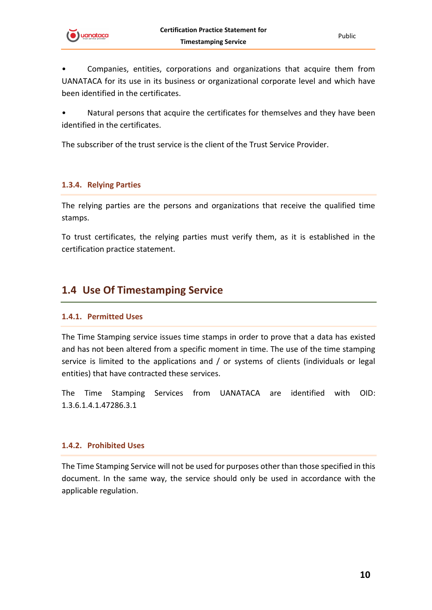

• Companies, entities, corporations and organizations that acquire them from UANATACA for its use in its business or organizational corporate level and which have been identified in the certificates.

Natural persons that acquire the certificates for themselves and they have been identified in the certificates.

The subscriber of the trust service is the client of the Trust Service Provider.

#### <span id="page-9-0"></span>**1.3.4. Relying Parties**

The relying parties are the persons and organizations that receive the qualified time stamps.

To trust certificates, the relying parties must verify them, as it is established in the certification practice statement.

## <span id="page-9-1"></span>**1.4 Use Of Timestamping Service**

#### <span id="page-9-2"></span>**1.4.1. Permitted Uses**

The Time Stamping service issues time stamps in order to prove that a data has existed and has not been altered from a specific moment in time. The use of the time stamping service is limited to the applications and / or systems of clients (individuals or legal entities) that have contracted these services.

The Time Stamping Services from UANATACA are identified with OID: 1.3.6.1.4.1.47286.3.1

#### <span id="page-9-3"></span>**1.4.2. Prohibited Uses**

The Time Stamping Service will not be used for purposes other than those specified in this document. In the same way, the service should only be used in accordance with the applicable regulation.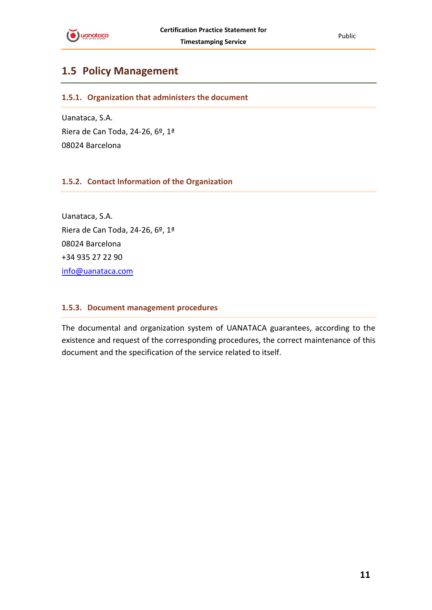

# <span id="page-10-0"></span>**1.5 Policy Management**

<span id="page-10-1"></span>**1.5.1. Organization that administers the document**

Uanataca, S.A. Riera de Can Toda, 24-26, 6º, 1ª 08024 Barcelona

#### <span id="page-10-2"></span>**1.5.2. Contact Information of the Organization**

Uanataca, S.A. Riera de Can Toda, 24-26, 6º, 1ª 08024 Barcelona +34 935 27 22 90 [info@uanataca.com](mailto:info@uanataca.com)

#### <span id="page-10-3"></span>**1.5.3. Document management procedures**

The documental and organization system of UANATACA guarantees, according to the existence and request of the corresponding procedures, the correct maintenance of this document and the specification of the service related to itself.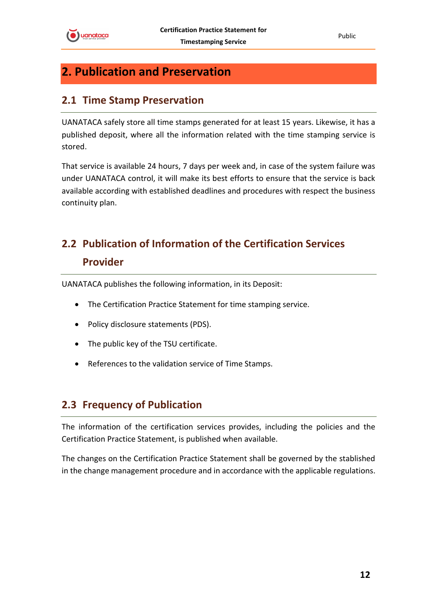# <span id="page-11-0"></span>**2. Publication and Preservation**

### <span id="page-11-1"></span>**2.1 Time Stamp Preservation**

UANATACA safely store all time stamps generated for at least 15 years. Likewise, it has a published deposit, where all the information related with the time stamping service is stored.

That service is available 24 hours, 7 days per week and, in case of the system failure was under UANATACA control, it will make its best efforts to ensure that the service is back available according with established deadlines and procedures with respect the business continuity plan.

# <span id="page-11-2"></span>**2.2 Publication of Information of the Certification Services Provider**

UANATACA publishes the following information, in its Deposit:

- The Certification Practice Statement for time stamping service.
- Policy disclosure statements (PDS).
- The public key of the TSU certificate.
- References to the validation service of Time Stamps.

## <span id="page-11-3"></span>**2.3 Frequency of Publication**

The information of the certification services provides, including the policies and the Certification Practice Statement, is published when available.

The changes on the Certification Practice Statement shall be governed by the stablished in the change management procedure and in accordance with the applicable regulations.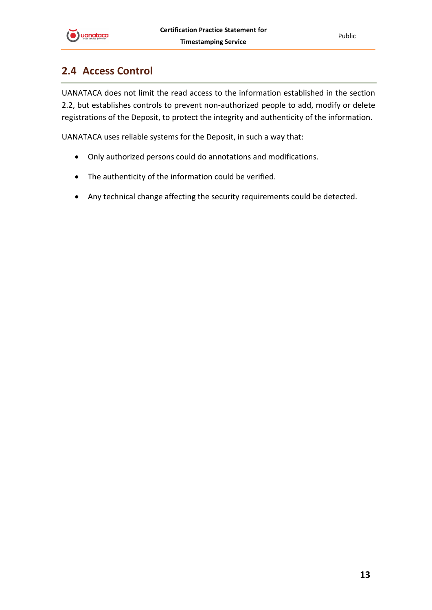

# <span id="page-12-0"></span>**2.4 Access Control**

UANATACA does not limit the read access to the information established in the section 2.2, but establishes controls to prevent non-authorized people to add, modify or delete registrations of the Deposit, to protect the integrity and authenticity of the information.

UANATACA uses reliable systems for the Deposit, in such a way that:

- Only authorized persons could do annotations and modifications.
- The authenticity of the information could be verified.
- Any technical change affecting the security requirements could be detected.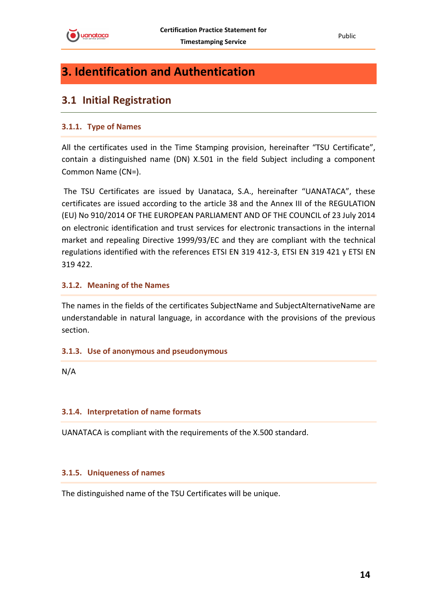

# <span id="page-13-0"></span>**3. Identification and Authentication**

## <span id="page-13-1"></span>**3.1 Initial Registration**

#### <span id="page-13-2"></span>**3.1.1. Type of Names**

All the certificates used in the Time Stamping provision, hereinafter "TSU Certificate", contain a distinguished name (DN) X.501 in the field Subject including a component Common Name (CN=).

The TSU Certificates are issued by Uanataca, S.A., hereinafter "UANATACA", these certificates are issued according to the article 38 and the Annex III of the REGULATION (EU) No 910/2014 OF THE EUROPEAN PARLIAMENT AND OF THE COUNCIL of 23 July 2014 on electronic identification and trust services for electronic transactions in the internal market and repealing Directive 1999/93/EC and they are compliant with the technical regulations identified with the references ETSI EN 319 412-3, ETSI EN 319 421 y ETSI EN 319 422.

#### <span id="page-13-3"></span>**3.1.2. Meaning of the Names**

The names in the fields of the certificates SubjectName and SubjectAlternativeName are understandable in natural language, in accordance with the provisions of the previous section.

#### <span id="page-13-4"></span>**3.1.3. Use of anonymous and pseudonymous**

N/A

#### <span id="page-13-5"></span>**3.1.4. Interpretation of name formats**

UANATACA is compliant with the requirements of the X.500 standard.

#### <span id="page-13-6"></span>**3.1.5. Uniqueness of names**

The distinguished name of the TSU Certificates will be unique.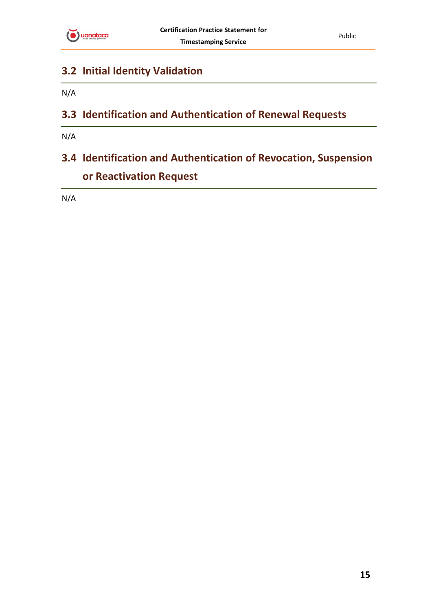

# <span id="page-14-0"></span>**3.2 Initial Identity Validation**

N/A

# <span id="page-14-1"></span>**3.3 Identification and Authentication of Renewal Requests**

N/A

# <span id="page-14-2"></span>**3.4 Identification and Authentication of Revocation, Suspension or Reactivation Request**

N/A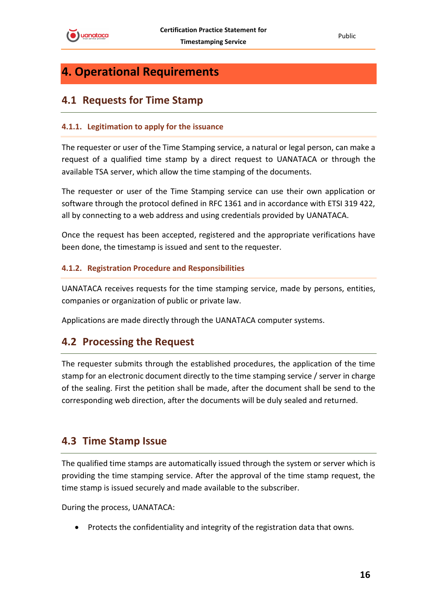

# <span id="page-15-0"></span>**4. Operational Requirements**

# <span id="page-15-1"></span>**4.1 Requests for Time Stamp**

#### <span id="page-15-2"></span>**4.1.1. Legitimation to apply for the issuance**

The requester or user of the Time Stamping service, a natural or legal person, can make a request of a qualified time stamp by a direct request to UANATACA or through the available TSA server, which allow the time stamping of the documents.

The requester or user of the Time Stamping service can use their own application or software through the protocol defined in RFC 1361 and in accordance with ETSI 319 422, all by connecting to a web address and using credentials provided by UANATACA.

Once the request has been accepted, registered and the appropriate verifications have been done, the timestamp is issued and sent to the requester.

#### <span id="page-15-3"></span>**4.1.2. Registration Procedure and Responsibilities**

UANATACA receives requests for the time stamping service, made by persons, entities, companies or organization of public or private law.

Applications are made directly through the UANATACA computer systems.

# <span id="page-15-4"></span>**4.2 Processing the Request**

The requester submits through the established procedures, the application of the time stamp for an electronic document directly to the time stamping service / server in charge of the sealing. First the petition shall be made, after the document shall be send to the corresponding web direction, after the documents will be duly sealed and returned.

## <span id="page-15-5"></span>**4.3 Time Stamp Issue**

The qualified time stamps are automatically issued through the system or server which is providing the time stamping service. After the approval of the time stamp request, the time stamp is issued securely and made available to the subscriber.

During the process, UANATACA:

• Protects the confidentiality and integrity of the registration data that owns.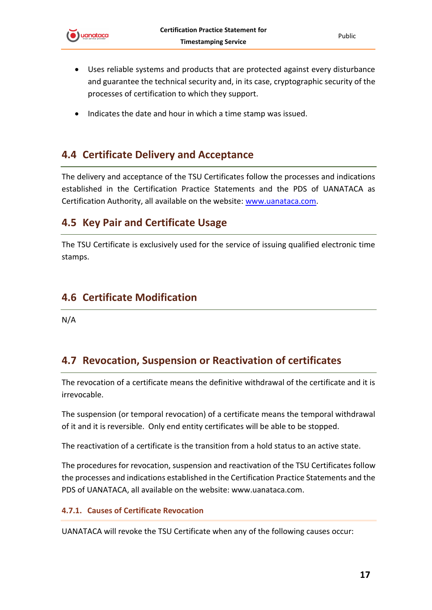

- Uses reliable systems and products that are protected against every disturbance and guarantee the technical security and, in its case, cryptographic security of the processes of certification to which they support.
- Indicates the date and hour in which a time stamp was issued.

# <span id="page-16-0"></span>**4.4 Certificate Delivery and Acceptance**

The delivery and acceptance of the TSU Certificates follow the processes and indications established in the Certification Practice Statements and the PDS of UANATACA as Certification Authority, all available on the website: [www.uanataca.com.](http://www.uanataca.com/)

### <span id="page-16-1"></span>**4.5 Key Pair and Certificate Usage**

The TSU Certificate is exclusively used for the service of issuing qualified electronic time stamps.

## <span id="page-16-2"></span>**4.6 Certificate Modification**

N/A

# <span id="page-16-3"></span>**4.7 Revocation, Suspension or Reactivation of certificates**

The revocation of a certificate means the definitive withdrawal of the certificate and it is irrevocable.

The suspension (or temporal revocation) of a certificate means the temporal withdrawal of it and it is reversible. Only end entity certificates will be able to be stopped.

The reactivation of a certificate is the transition from a hold status to an active state.

The procedures for revocation, suspension and reactivation of the TSU Certificates follow the processes and indications established in the Certification Practice Statements and the PDS of UANATACA, all available on the website: www.uanataca.com.

#### <span id="page-16-4"></span>**4.7.1. Causes of Certificate Revocation**

UANATACA will revoke the TSU Certificate when any of the following causes occur: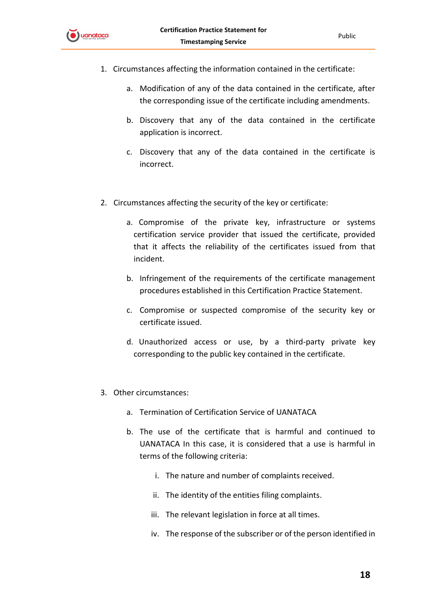

- 1. Circumstances affecting the information contained in the certificate:
	- a. Modification of any of the data contained in the certificate, after the corresponding issue of the certificate including amendments.
	- b. Discovery that any of the data contained in the certificate application is incorrect.
	- c. Discovery that any of the data contained in the certificate is incorrect.
- 2. Circumstances affecting the security of the key or certificate:
	- a. Compromise of the private key, infrastructure or systems certification service provider that issued the certificate, provided that it affects the reliability of the certificates issued from that incident.
	- b. Infringement of the requirements of the certificate management procedures established in this Certification Practice Statement.
	- c. Compromise or suspected compromise of the security key or certificate issued.
	- d. Unauthorized access or use, by a third-party private key corresponding to the public key contained in the certificate.
- 3. Other circumstances:
	- a. Termination of Certification Service of UANATACA
	- b. The use of the certificate that is harmful and continued to UANATACA In this case, it is considered that a use is harmful in terms of the following criteria:
		- i. The nature and number of complaints received.
		- ii. The identity of the entities filing complaints.
		- iii. The relevant legislation in force at all times.
		- iv. The response of the subscriber or of the person identified in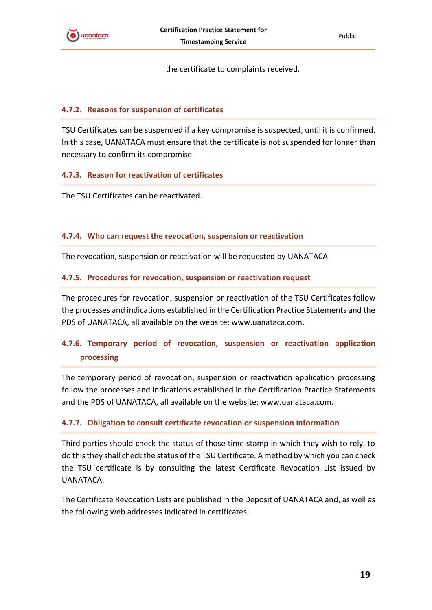

the certificate to complaints received.

#### <span id="page-18-0"></span>**4.7.2. Reasons for suspension of certificates**

TSU Certificates can be suspended if a key compromise is suspected, until it is confirmed. In this case, UANATACA must ensure that the certificate is not suspended for longer than necessary to confirm its compromise.

#### <span id="page-18-1"></span>**4.7.3. Reason for reactivation of certificates**

The TSU Certificates can be reactivated.

#### <span id="page-18-2"></span>**4.7.4. Who can request the revocation, suspension or reactivation**

The revocation, suspension or reactivation will be requested by UANATACA

#### <span id="page-18-3"></span>**4.7.5. Procedures for revocation, suspension or reactivation request**

The procedures for revocation, suspension or reactivation of the TSU Certificates follow the processes and indications established in the Certification Practice Statements and the PDS of UANATACA, all available on the website: www.uanataca.com.

### <span id="page-18-4"></span>**4.7.6. Temporary period of revocation, suspension or reactivation application processing**

The temporary period of revocation, suspension or reactivation application processing follow the processes and indications established in the Certification Practice Statements and the PDS of UANATACA, all available on the website: www.uanataca.com.

#### <span id="page-18-5"></span>**4.7.7. Obligation to consult certificate revocation or suspension information**

Third parties should check the status of those time stamp in which they wish to rely, to do this they shall check the status of the TSU Certificate. A method by which you can check the TSU certificate is by consulting the latest Certificate Revocation List issued by UANATACA.

The Certificate Revocation Lists are published in the Deposit of UANATACA and, as well as the following web addresses indicated in certificates: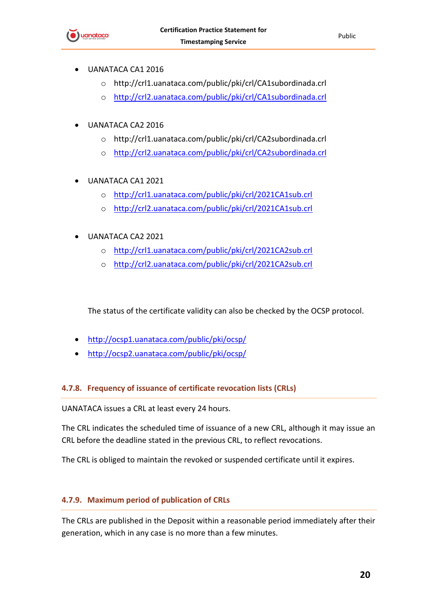

- UANATACA CA1 2016
	- o http://crl1.uanataca.com/public/pki/crl/CA1subordinada.crl
	- o <http://crl2.uanataca.com/public/pki/crl/CA1subordinada.crl>
- UANATACA CA2 2016
	- o http://crl1.uanataca.com/public/pki/crl/CA2subordinada.crl
	- o <http://crl2.uanataca.com/public/pki/crl/CA2subordinada.crl>
- UANATACA CA1 2021
	- o <http://crl1.uanataca.com/public/pki/crl/2021CA1sub.crl>
	- o <http://crl2.uanataca.com/public/pki/crl/2021CA1sub.crl>
- UANATACA CA2 2021
	- o <http://crl1.uanataca.com/public/pki/crl/2021CA2sub.crl>
	- o <http://crl2.uanataca.com/public/pki/crl/2021CA2sub.crl>

The status of the certificate validity can also be checked by the OCSP protocol.

- <http://ocsp1.uanataca.com/public/pki/ocsp/>
- <http://ocsp2.uanataca.com/public/pki/ocsp/>

#### <span id="page-19-0"></span>**4.7.8. Frequency of issuance of certificate revocation lists (CRLs)**

UANATACA issues a CRL at least every 24 hours.

The CRL indicates the scheduled time of issuance of a new CRL, although it may issue an CRL before the deadline stated in the previous CRL, to reflect revocations.

The CRL is obliged to maintain the revoked or suspended certificate until it expires.

#### <span id="page-19-1"></span>**4.7.9. Maximum period of publication of CRLs**

The CRLs are published in the Deposit within a reasonable period immediately after their generation, which in any case is no more than a few minutes.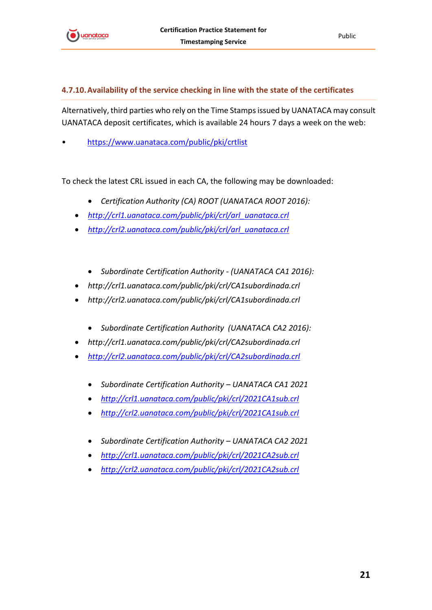

#### <span id="page-20-0"></span>**4.7.10.Availability of the service checking in line with the state of the certificates**

Alternatively, third parties who rely on the Time Stamps issued by UANATACA may consult UANATACA deposit certificates, which is available 24 hours 7 days a week on the web:

• <https://www.uanataca.com/public/pki/crtlist>

To check the latest CRL issued in each CA, the following may be downloaded:

- *Certification Authority (CA) ROOT (UANATACA ROOT 2016):*
- *[http://crl1.uanataca.com/public/pki/crl/arl\\_uanataca.crl](http://crl1.uanataca.com/public/pki/crl/arl_uanataca.crl)*
- *[http://crl2.uanataca.com/public/pki/crl/arl\\_uanataca.crl](http://crl2.uanataca.com/public/pki/crl/arl_uanataca.crl)*
	- *Subordinate Certification Authority - (UANATACA CA1 2016):*
- *http://crl1.uanataca.com/public/pki/crl/CA1subordinada.crl*
- *http://crl2.uanataca.com/public/pki/crl/CA1subordinada.crl*
	- *Subordinate Certification Authority (UANATACA CA2 2016):*
- *http://crl1.uanataca.com/public/pki/crl/CA2subordinada.crl*
- *<http://crl2.uanataca.com/public/pki/crl/CA2subordinada.crl>*
	- *Subordinate Certification Authority – UANATACA CA1 2021*
	- *<http://crl1.uanataca.com/public/pki/crl/2021CA1sub.crl>*
	- *<http://crl2.uanataca.com/public/pki/crl/2021CA1sub.crl>*
	- *Subordinate Certification Authority – UANATACA CA2 2021*
	- *<http://crl1.uanataca.com/public/pki/crl/2021CA2sub.crl>*
	- *<http://crl2.uanataca.com/public/pki/crl/2021CA2sub.crl>*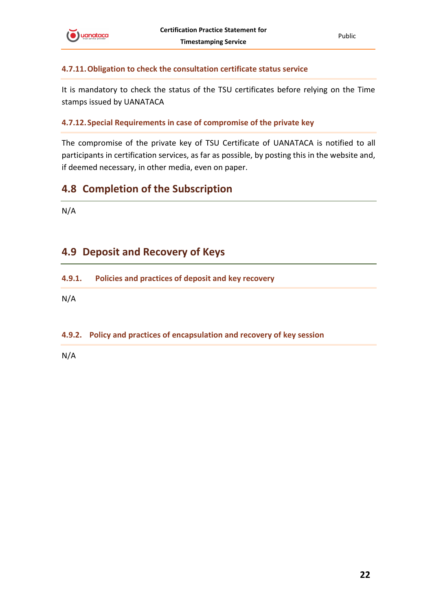

#### <span id="page-21-0"></span>**4.7.11.Obligation to check the consultation certificate status service**

It is mandatory to check the status of the TSU certificates before relying on the Time stamps issued by UANATACA

#### <span id="page-21-1"></span>**4.7.12.Special Requirements in case of compromise of the private key**

The compromise of the private key of TSU Certificate of UANATACA is notified to all participants in certification services, as far as possible, by posting this in the website and, if deemed necessary, in other media, even on paper.

## <span id="page-21-2"></span>**4.8 Completion of the Subscription**

N/A

# <span id="page-21-3"></span>**4.9 Deposit and Recovery of Keys**

<span id="page-21-4"></span>**4.9.1. Policies and practices of deposit and key recovery**

N/A

#### <span id="page-21-5"></span>**4.9.2. Policy and practices of encapsulation and recovery of key session**

N/A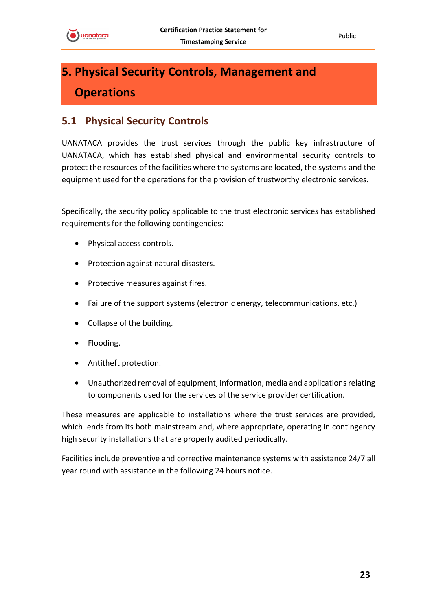Public

# <span id="page-22-0"></span>**5. Physical Security Controls, Management and Operations**

# <span id="page-22-1"></span>**5.1 Physical Security Controls**

UANATACA provides the trust services through the public key infrastructure of UANATACA, which has established physical and environmental security controls to protect the resources of the facilities where the systems are located, the systems and the equipment used for the operations for the provision of trustworthy electronic services.

Specifically, the security policy applicable to the trust electronic services has established requirements for the following contingencies:

- Physical access controls.
- Protection against natural disasters.
- Protective measures against fires.
- Failure of the support systems (electronic energy, telecommunications, etc.)
- Collapse of the building.
- Flooding.
- Antitheft protection.
- Unauthorized removal of equipment, information, media and applications relating to components used for the services of the service provider certification.

These measures are applicable to installations where the trust services are provided, which lends from its both mainstream and, where appropriate, operating in contingency high security installations that are properly audited periodically.

Facilities include preventive and corrective maintenance systems with assistance 24/7 all year round with assistance in the following 24 hours notice.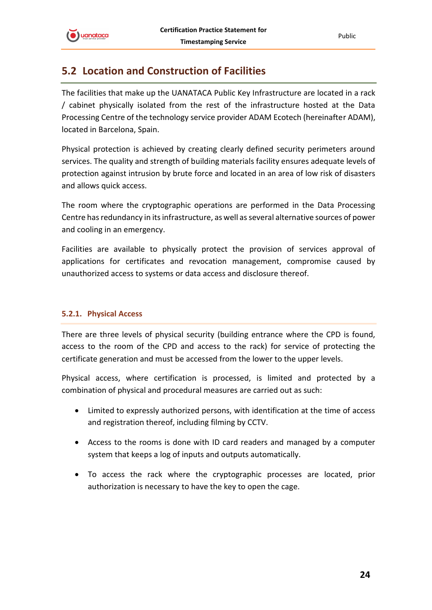

# <span id="page-23-0"></span>**5.2 Location and Construction of Facilities**

The facilities that make up the UANATACA Public Key Infrastructure are located in a rack / cabinet physically isolated from the rest of the infrastructure hosted at the Data Processing Centre of the technology service provider ADAM Ecotech (hereinafter ADAM), located in Barcelona, Spain.

Physical protection is achieved by creating clearly defined security perimeters around services. The quality and strength of building materials facility ensures adequate levels of protection against intrusion by brute force and located in an area of low risk of disasters and allows quick access.

The room where the cryptographic operations are performed in the Data Processing Centre has redundancy in its infrastructure, as well as several alternative sources of power and cooling in an emergency.

Facilities are available to physically protect the provision of services approval of applications for certificates and revocation management, compromise caused by unauthorized access to systems or data access and disclosure thereof.

#### <span id="page-23-1"></span>**5.2.1. Physical Access**

There are three levels of physical security (building entrance where the CPD is found, access to the room of the CPD and access to the rack) for service of protecting the certificate generation and must be accessed from the lower to the upper levels.

Physical access, where certification is processed, is limited and protected by a combination of physical and procedural measures are carried out as such:

- Limited to expressly authorized persons, with identification at the time of access and registration thereof, including filming by CCTV.
- Access to the rooms is done with ID card readers and managed by a computer system that keeps a log of inputs and outputs automatically.
- To access the rack where the cryptographic processes are located, prior authorization is necessary to have the key to open the cage.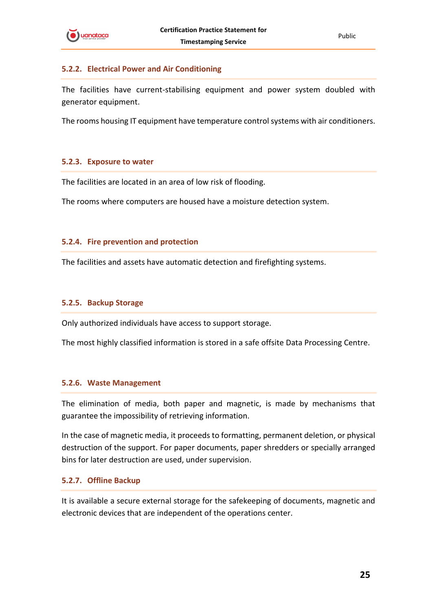

#### <span id="page-24-0"></span>**5.2.2. Electrical Power and Air Conditioning**

The facilities have current-stabilising equipment and power system doubled with generator equipment.

The rooms housing IT equipment have temperature control systems with air conditioners.

#### <span id="page-24-1"></span>**5.2.3. Exposure to water**

The facilities are located in an area of low risk of flooding.

The rooms where computers are housed have a moisture detection system.

#### <span id="page-24-2"></span>**5.2.4. Fire prevention and protection**

The facilities and assets have automatic detection and firefighting systems.

#### <span id="page-24-3"></span>**5.2.5. Backup Storage**

Only authorized individuals have access to support storage.

The most highly classified information is stored in a safe offsite Data Processing Centre.

#### <span id="page-24-4"></span>**5.2.6. Waste Management**

The elimination of media, both paper and magnetic, is made by mechanisms that guarantee the impossibility of retrieving information.

In the case of magnetic media, it proceeds to formatting, permanent deletion, or physical destruction of the support. For paper documents, paper shredders or specially arranged bins for later destruction are used, under supervision.

#### <span id="page-24-5"></span>**5.2.7. Offline Backup**

It is available a secure external storage for the safekeeping of documents, magnetic and electronic devices that are independent of the operations center.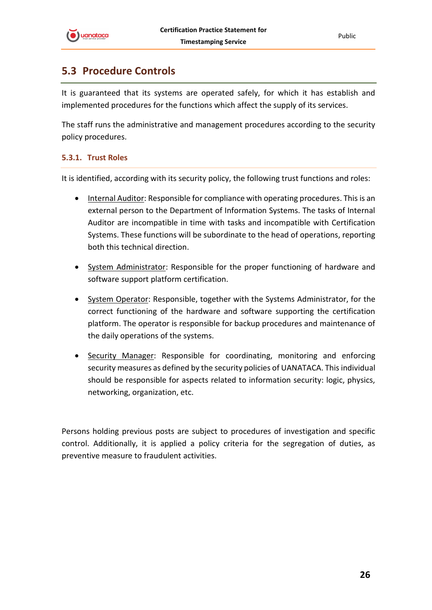

# <span id="page-25-0"></span>**5.3 Procedure Controls**

It is guaranteed that its systems are operated safely, for which it has establish and implemented procedures for the functions which affect the supply of its services.

The staff runs the administrative and management procedures according to the security policy procedures.

#### <span id="page-25-1"></span>**5.3.1. Trust Roles**

It is identified, according with its security policy, the following trust functions and roles:

- Internal Auditor: Responsible for compliance with operating procedures. This is an external person to the Department of Information Systems. The tasks of Internal Auditor are incompatible in time with tasks and incompatible with Certification Systems. These functions will be subordinate to the head of operations, reporting both this technical direction.
- System Administrator: Responsible for the proper functioning of hardware and software support platform certification.
- System Operator: Responsible, together with the Systems Administrator, for the correct functioning of the hardware and software supporting the certification platform. The operator is responsible for backup procedures and maintenance of the daily operations of the systems.
- Security Manager: Responsible for coordinating, monitoring and enforcing security measures as defined by the security policies of UANATACA. This individual should be responsible for aspects related to information security: logic, physics, networking, organization, etc.

Persons holding previous posts are subject to procedures of investigation and specific control. Additionally, it is applied a policy criteria for the segregation of duties, as preventive measure to fraudulent activities.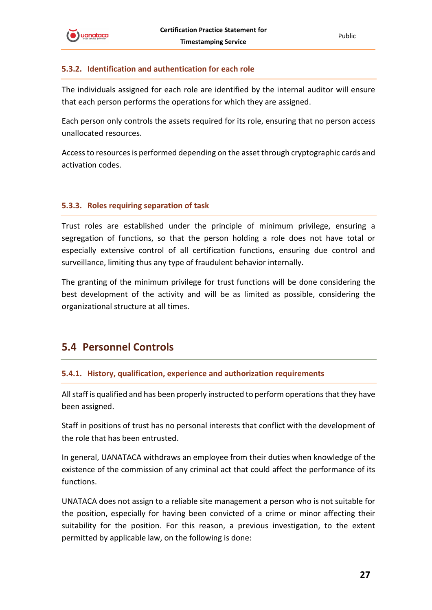

#### <span id="page-26-0"></span>**5.3.2. Identification and authentication for each role**

The individuals assigned for each role are identified by the internal auditor will ensure that each person performs the operations for which they are assigned.

Each person only controls the assets required for its role, ensuring that no person access unallocated resources.

Access to resources is performed depending on the asset through cryptographic cards and activation codes.

#### <span id="page-26-1"></span>**5.3.3. Roles requiring separation of task**

Trust roles are established under the principle of minimum privilege, ensuring a segregation of functions, so that the person holding a role does not have total or especially extensive control of all certification functions, ensuring due control and surveillance, limiting thus any type of fraudulent behavior internally.

The granting of the minimum privilege for trust functions will be done considering the best development of the activity and will be as limited as possible, considering the organizational structure at all times.

## <span id="page-26-2"></span>**5.4 Personnel Controls**

#### <span id="page-26-3"></span>**5.4.1. History, qualification, experience and authorization requirements**

All staff is qualified and has been properly instructed to perform operations that they have been assigned.

Staff in positions of trust has no personal interests that conflict with the development of the role that has been entrusted.

In general, UANATACA withdraws an employee from their duties when knowledge of the existence of the commission of any criminal act that could affect the performance of its functions.

UNATACA does not assign to a reliable site management a person who is not suitable for the position, especially for having been convicted of a crime or minor affecting their suitability for the position. For this reason, a previous investigation, to the extent permitted by applicable law, on the following is done: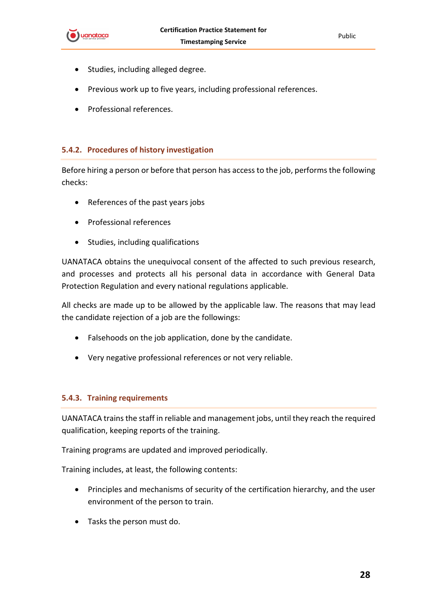

- Studies, including alleged degree.
- Previous work up to five years, including professional references.
- Professional references.

#### <span id="page-27-0"></span>**5.4.2. Procedures of history investigation**

Before hiring a person or before that person has access to the job, performs the following checks:

- References of the past years jobs
- Professional references
- Studies, including qualifications

UANATACA obtains the unequivocal consent of the affected to such previous research, and processes and protects all his personal data in accordance with General Data Protection Regulation and every national regulations applicable.

All checks are made up to be allowed by the applicable law. The reasons that may lead the candidate rejection of a job are the followings:

- Falsehoods on the job application, done by the candidate.
- Very negative professional references or not very reliable.

#### <span id="page-27-1"></span>**5.4.3. Training requirements**

UANATACA trains the staff in reliable and management jobs, until they reach the required qualification, keeping reports of the training.

Training programs are updated and improved periodically.

Training includes, at least, the following contents:

- Principles and mechanisms of security of the certification hierarchy, and the user environment of the person to train.
- Tasks the person must do.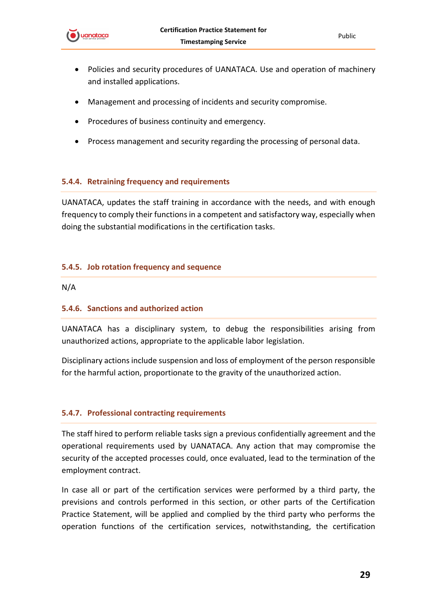

- Policies and security procedures of UANATACA. Use and operation of machinery and installed applications.
- Management and processing of incidents and security compromise.
- Procedures of business continuity and emergency.
- Process management and security regarding the processing of personal data.

#### <span id="page-28-0"></span>**5.4.4. Retraining frequency and requirements**

UANATACA, updates the staff training in accordance with the needs, and with enough frequency to comply their functions in a competent and satisfactory way, especially when doing the substantial modifications in the certification tasks.

#### <span id="page-28-1"></span>**5.4.5. Job rotation frequency and sequence**

N/A

#### <span id="page-28-2"></span>**5.4.6. Sanctions and authorized action**

UANATACA has a disciplinary system, to debug the responsibilities arising from unauthorized actions, appropriate to the applicable labor legislation.

Disciplinary actions include suspension and loss of employment of the person responsible for the harmful action, proportionate to the gravity of the unauthorized action.

#### <span id="page-28-3"></span>**5.4.7. Professional contracting requirements**

The staff hired to perform reliable tasks sign a previous confidentially agreement and the operational requirements used by UANATACA. Any action that may compromise the security of the accepted processes could, once evaluated, lead to the termination of the employment contract.

In case all or part of the certification services were performed by a third party, the previsions and controls performed in this section, or other parts of the Certification Practice Statement, will be applied and complied by the third party who performs the operation functions of the certification services, notwithstanding, the certification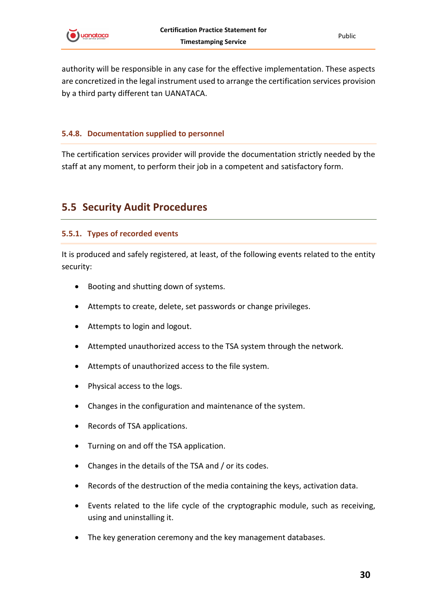

authority will be responsible in any case for the effective implementation. These aspects are concretized in the legal instrument used to arrange the certification services provision by a third party different tan UANATACA.

#### <span id="page-29-0"></span>**5.4.8. Documentation supplied to personnel**

The certification services provider will provide the documentation strictly needed by the staff at any moment, to perform their job in a competent and satisfactory form.

### <span id="page-29-1"></span>**5.5 Security Audit Procedures**

#### <span id="page-29-2"></span>**5.5.1. Types of recorded events**

It is produced and safely registered, at least, of the following events related to the entity security:

- Booting and shutting down of systems.
- Attempts to create, delete, set passwords or change privileges.
- Attempts to login and logout.
- Attempted unauthorized access to the TSA system through the network.
- Attempts of unauthorized access to the file system.
- Physical access to the logs.
- Changes in the configuration and maintenance of the system.
- Records of TSA applications.
- Turning on and off the TSA application.
- Changes in the details of the TSA and / or its codes.
- Records of the destruction of the media containing the keys, activation data.
- Events related to the life cycle of the cryptographic module, such as receiving, using and uninstalling it.
- The key generation ceremony and the key management databases.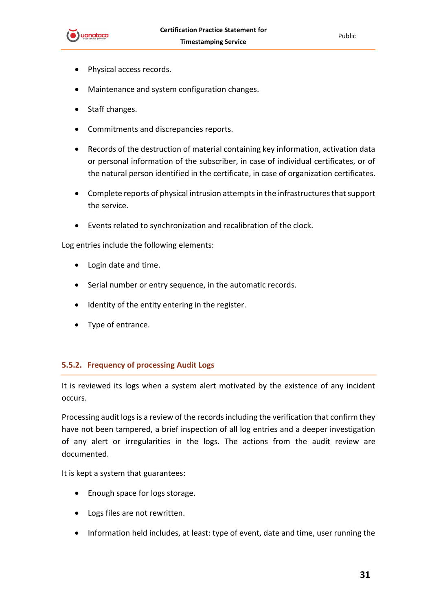

- Physical access records.
- Maintenance and system configuration changes.
- Staff changes.
- Commitments and discrepancies reports.
- Records of the destruction of material containing key information, activation data or personal information of the subscriber, in case of individual certificates, or of the natural person identified in the certificate, in case of organization certificates.
- Complete reports of physical intrusion attempts in the infrastructures that support the service.
- Events related to synchronization and recalibration of the clock.

Log entries include the following elements:

- Login date and time.
- Serial number or entry sequence, in the automatic records.
- Identity of the entity entering in the register.
- Type of entrance.

#### <span id="page-30-0"></span>**5.5.2. Frequency of processing Audit Logs**

It is reviewed its logs when a system alert motivated by the existence of any incident occurs.

Processing audit logs is a review of the records including the verification that confirm they have not been tampered, a brief inspection of all log entries and a deeper investigation of any alert or irregularities in the logs. The actions from the audit review are documented.

It is kept a system that guarantees:

- Enough space for logs storage.
- Logs files are not rewritten.
- Information held includes, at least: type of event, date and time, user running the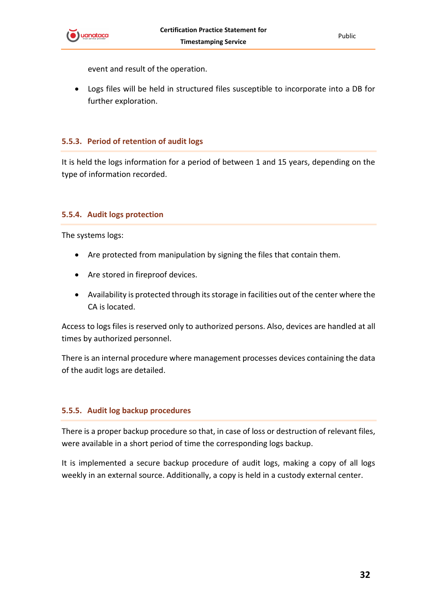

event and result of the operation.

• Logs files will be held in structured files susceptible to incorporate into a DB for further exploration.

#### <span id="page-31-0"></span>**5.5.3. Period of retention of audit logs**

It is held the logs information for a period of between 1 and 15 years, depending on the type of information recorded.

#### <span id="page-31-1"></span>**5.5.4. Audit logs protection**

The systems logs:

- Are protected from manipulation by signing the files that contain them.
- Are stored in fireproof devices.
- Availability is protected through its storage in facilities out of the center where the CA is located.

Access to logs files is reserved only to authorized persons. Also, devices are handled at all times by authorized personnel.

There is an internal procedure where management processes devices containing the data of the audit logs are detailed.

#### <span id="page-31-2"></span>**5.5.5. Audit log backup procedures**

There is a proper backup procedure so that, in case of loss or destruction of relevant files, were available in a short period of time the corresponding logs backup.

It is implemented a secure backup procedure of audit logs, making a copy of all logs weekly in an external source. Additionally, a copy is held in a custody external center.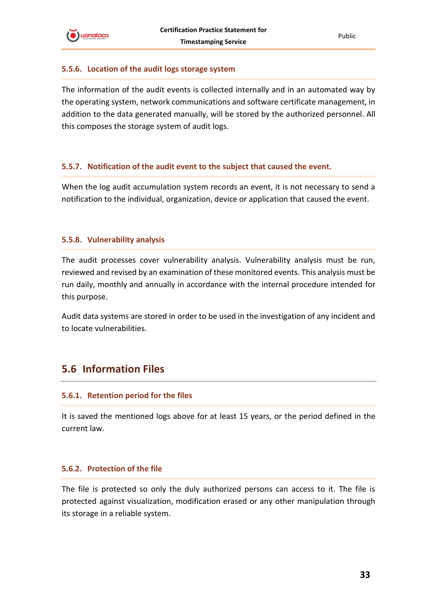#### <span id="page-32-0"></span>**5.5.6. Location of the audit logs storage system**

The information of the audit events is collected internally and in an automated way by the operating system, network communications and software certificate management, in addition to the data generated manually, will be stored by the authorized personnel. All this composes the storage system of audit logs.

#### <span id="page-32-1"></span>**5.5.7. Notification of the audit event to the subject that caused the event.**

When the log audit accumulation system records an event, it is not necessary to send a notification to the individual, organization, device or application that caused the event.

#### <span id="page-32-2"></span>**5.5.8. Vulnerability analysis**

The audit processes cover vulnerability analysis. Vulnerability analysis must be run, reviewed and revised by an examination of these monitored events. This analysis must be run daily, monthly and annually in accordance with the internal procedure intended for this purpose.

Audit data systems are stored in order to be used in the investigation of any incident and to locate vulnerabilities.

### <span id="page-32-3"></span>**5.6 Information Files**

#### <span id="page-32-4"></span>**5.6.1. Retention period for the files**

It is saved the mentioned logs above for at least 15 years, or the period defined in the current law.

#### <span id="page-32-5"></span>**5.6.2. Protection of the file**

The file is protected so only the duly authorized persons can access to it. The file is protected against visualization, modification erased or any other manipulation through its storage in a reliable system.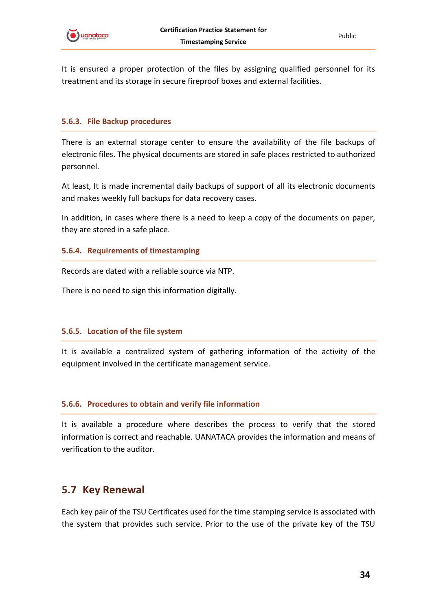

It is ensured a proper protection of the files by assigning qualified personnel for its treatment and its storage in secure fireproof boxes and external facilities.

#### <span id="page-33-0"></span>**5.6.3. File Backup procedures**

There is an external storage center to ensure the availability of the file backups of electronic files. The physical documents are stored in safe places restricted to authorized personnel.

At least, It is made incremental daily backups of support of all its electronic documents and makes weekly full backups for data recovery cases.

In addition, in cases where there is a need to keep a copy of the documents on paper, they are stored in a safe place.

#### <span id="page-33-1"></span>**5.6.4. Requirements of timestamping**

Records are dated with a reliable source via NTP.

There is no need to sign this information digitally.

#### <span id="page-33-2"></span>**5.6.5. Location of the file system**

It is available a centralized system of gathering information of the activity of the equipment involved in the certificate management service.

#### <span id="page-33-3"></span>**5.6.6. Procedures to obtain and verify file information**

It is available a procedure where describes the process to verify that the stored information is correct and reachable. UANATACA provides the information and means of verification to the auditor.

### <span id="page-33-4"></span>**5.7 Key Renewal**

Each key pair of the TSU Certificates used for the time stamping service is associated with the system that provides such service. Prior to the use of the private key of the TSU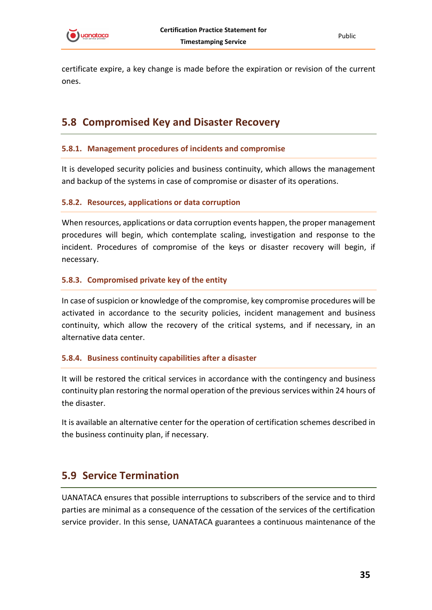

certificate expire, a key change is made before the expiration or revision of the current ones.

# <span id="page-34-0"></span>**5.8 Compromised Key and Disaster Recovery**

#### <span id="page-34-1"></span>**5.8.1. Management procedures of incidents and compromise**

It is developed security policies and business continuity, which allows the management and backup of the systems in case of compromise or disaster of its operations.

#### <span id="page-34-2"></span>**5.8.2. Resources, applications or data corruption**

When resources, applications or data corruption events happen, the proper management procedures will begin, which contemplate scaling, investigation and response to the incident. Procedures of compromise of the keys or disaster recovery will begin, if necessary.

#### <span id="page-34-3"></span>**5.8.3. Compromised private key of the entity**

In case of suspicion or knowledge of the compromise, key compromise procedures will be activated in accordance to the security policies, incident management and business continuity, which allow the recovery of the critical systems, and if necessary, in an alternative data center.

#### <span id="page-34-4"></span>**5.8.4. Business continuity capabilities after a disaster**

It will be restored the critical services in accordance with the contingency and business continuity plan restoring the normal operation of the previous services within 24 hours of the disaster.

It is available an alternative center for the operation of certification schemes described in the business continuity plan, if necessary.

## <span id="page-34-5"></span>**5.9 Service Termination**

UANATACA ensures that possible interruptions to subscribers of the service and to third parties are minimal as a consequence of the cessation of the services of the certification service provider. In this sense, UANATACA guarantees a continuous maintenance of the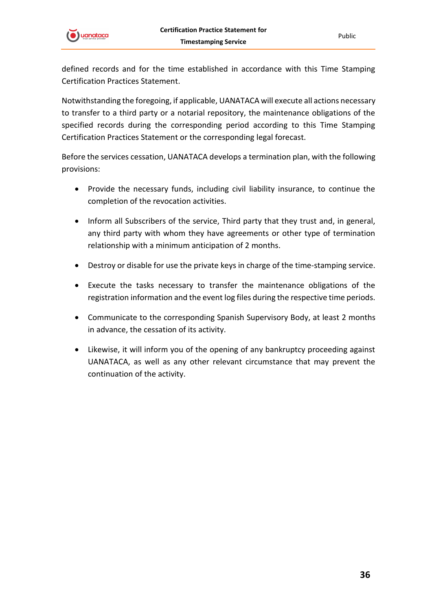

defined records and for the time established in accordance with this Time Stamping Certification Practices Statement.

Notwithstanding the foregoing, if applicable, UANATACA will execute all actions necessary to transfer to a third party or a notarial repository, the maintenance obligations of the specified records during the corresponding period according to this Time Stamping Certification Practices Statement or the corresponding legal forecast.

Before the services cessation, UANATACA develops a termination plan, with the following provisions:

- Provide the necessary funds, including civil liability insurance, to continue the completion of the revocation activities.
- Inform all Subscribers of the service, Third party that they trust and, in general, any third party with whom they have agreements or other type of termination relationship with a minimum anticipation of 2 months.
- Destroy or disable for use the private keys in charge of the time-stamping service.
- Execute the tasks necessary to transfer the maintenance obligations of the registration information and the event log files during the respective time periods.
- Communicate to the corresponding Spanish Supervisory Body, at least 2 months in advance, the cessation of its activity.
- Likewise, it will inform you of the opening of any bankruptcy proceeding against UANATACA, as well as any other relevant circumstance that may prevent the continuation of the activity.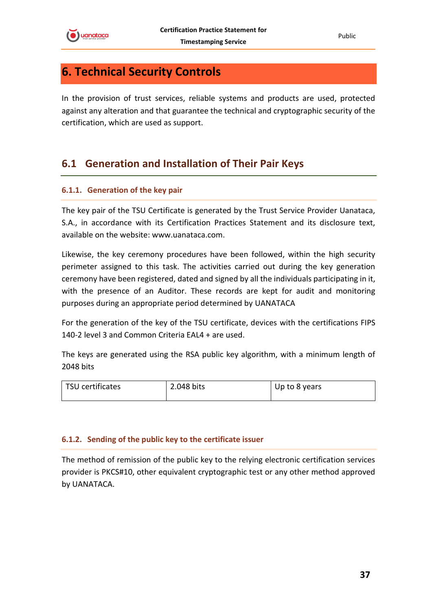

Public

# <span id="page-36-0"></span>**6. Technical Security Controls**

In the provision of trust services, reliable systems and products are used, protected against any alteration and that guarantee the technical and cryptographic security of the certification, which are used as support.

# <span id="page-36-1"></span>**6.1 Generation and Installation of Their Pair Keys**

#### <span id="page-36-2"></span>**6.1.1. Generation of the key pair**

The key pair of the TSU Certificate is generated by the Trust Service Provider Uanataca, S.A., in accordance with its Certification Practices Statement and its disclosure text, available on the website: www.uanataca.com.

Likewise, the key ceremony procedures have been followed, within the high security perimeter assigned to this task. The activities carried out during the key generation ceremony have been registered, dated and signed by all the individuals participating in it, with the presence of an Auditor. These records are kept for audit and monitoring purposes during an appropriate period determined by UANATACA

For the generation of the key of the TSU certificate, devices with the certifications FIPS 140-2 level 3 and Common Criteria EAL4 + are used.

The keys are generated using the RSA public key algorithm, with a minimum length of 2048 bits

| TSU certificates | 2.048 bits | Up to 8 years |
|------------------|------------|---------------|
|                  |            |               |

#### <span id="page-36-3"></span>**6.1.2. Sending of the public key to the certificate issuer**

The method of remission of the public key to the relying electronic certification services provider is PKCS#10, other equivalent cryptographic test or any other method approved by UANATACA.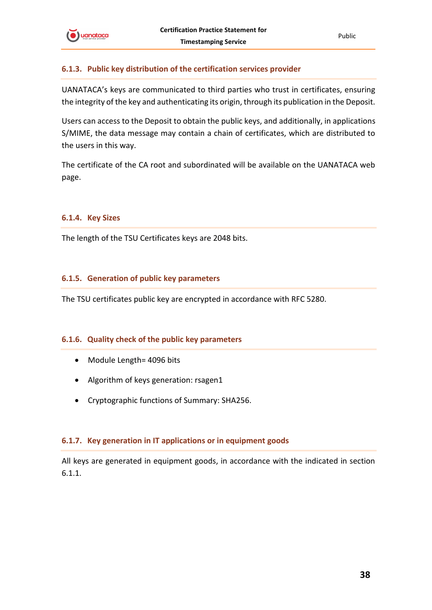

#### <span id="page-37-0"></span>**6.1.3. Public key distribution of the certification services provider**

UANATACA's keys are communicated to third parties who trust in certificates, ensuring the integrity of the key and authenticating its origin, through its publication in the Deposit.

Users can access to the Deposit to obtain the public keys, and additionally, in applications S/MIME, the data message may contain a chain of certificates, which are distributed to the users in this way.

The certificate of the CA root and subordinated will be available on the UANATACA web page.

#### <span id="page-37-1"></span>**6.1.4. Key Sizes**

The length of the TSU Certificates keys are 2048 bits.

#### <span id="page-37-2"></span>**6.1.5. Generation of public key parameters**

The TSU certificates public key are encrypted in accordance with RFC 5280.

#### <span id="page-37-3"></span>**6.1.6. Quality check of the public key parameters**

- Module Length= 4096 bits
- Algorithm of keys generation: rsagen1
- Cryptographic functions of Summary: SHA256.

#### <span id="page-37-4"></span>**6.1.7. Key generation in IT applications or in equipment goods**

All keys are generated in equipment goods, in accordance with the indicated in section 6.1.1.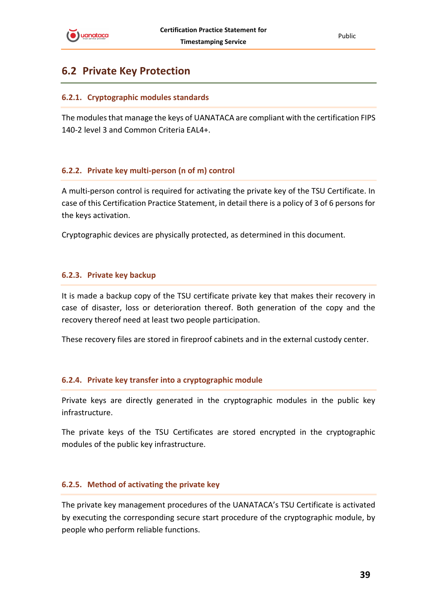

# <span id="page-38-0"></span>**6.2 Private Key Protection**

#### <span id="page-38-1"></span>**6.2.1. Cryptographic modules standards**

The modules that manage the keys of UANATACA are compliant with the certification FIPS 140-2 level 3 and Common Criteria EAL4+.

#### <span id="page-38-2"></span>**6.2.2. Private key multi-person (n of m) control**

A multi-person control is required for activating the private key of the TSU Certificate. In case of this Certification Practice Statement, in detail there is a policy of 3 of 6 persons for the keys activation.

Cryptographic devices are physically protected, as determined in this document.

#### <span id="page-38-3"></span>**6.2.3. Private key backup**

It is made a backup copy of the TSU certificate private key that makes their recovery in case of disaster, loss or deterioration thereof. Both generation of the copy and the recovery thereof need at least two people participation.

These recovery files are stored in fireproof cabinets and in the external custody center.

#### <span id="page-38-4"></span>**6.2.4. Private key transfer into a cryptographic module**

Private keys are directly generated in the cryptographic modules in the public key infrastructure.

The private keys of the TSU Certificates are stored encrypted in the cryptographic modules of the public key infrastructure.

#### <span id="page-38-5"></span>**6.2.5. Method of activating the private key**

The private key management procedures of the UANATACA's TSU Certificate is activated by executing the corresponding secure start procedure of the cryptographic module, by people who perform reliable functions.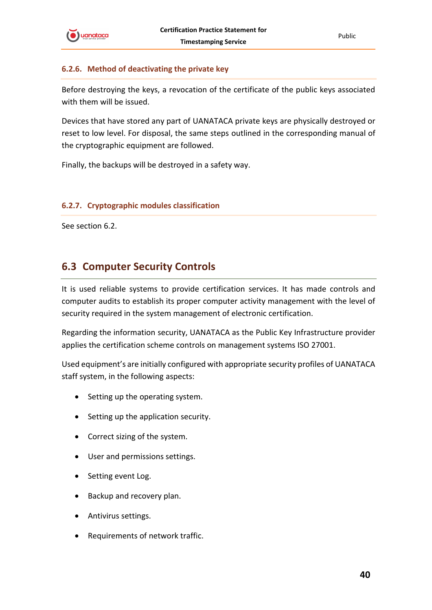

#### <span id="page-39-0"></span>**6.2.6. Method of deactivating the private key**

Before destroying the keys, a revocation of the certificate of the public keys associated with them will be issued.

Devices that have stored any part of UANATACA private keys are physically destroyed or reset to low level. For disposal, the same steps outlined in the corresponding manual of the cryptographic equipment are followed.

Finally, the backups will be destroyed in a safety way.

#### <span id="page-39-1"></span>**6.2.7. Cryptographic modules classification**

See section 6.2.

# <span id="page-39-2"></span>**6.3 Computer Security Controls**

It is used reliable systems to provide certification services. It has made controls and computer audits to establish its proper computer activity management with the level of security required in the system management of electronic certification.

Regarding the information security, UANATACA as the Public Key Infrastructure provider applies the certification scheme controls on management systems ISO 27001.

Used equipment's are initially configured with appropriate security profiles of UANATACA staff system, in the following aspects:

- Setting up the operating system.
- Setting up the application security.
- Correct sizing of the system.
- User and permissions settings.
- Setting event Log.
- Backup and recovery plan.
- Antivirus settings.
- Requirements of network traffic.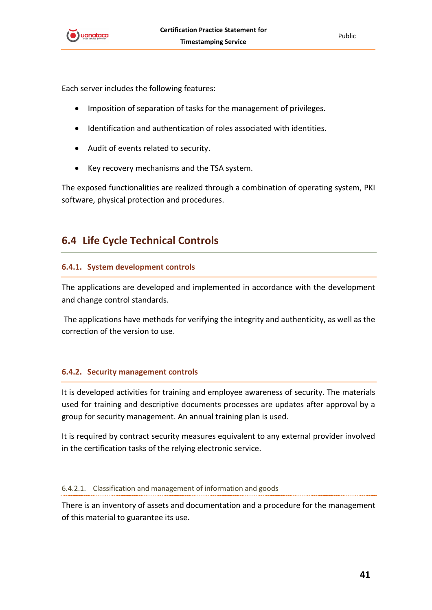

Public

Each server includes the following features:

- Imposition of separation of tasks for the management of privileges.
- Identification and authentication of roles associated with identities.
- Audit of events related to security.
- Key recovery mechanisms and the TSA system.

The exposed functionalities are realized through a combination of operating system, PKI software, physical protection and procedures.

# <span id="page-40-0"></span>**6.4 Life Cycle Technical Controls**

#### <span id="page-40-1"></span>**6.4.1. System development controls**

The applications are developed and implemented in accordance with the development and change control standards.

The applications have methods for verifying the integrity and authenticity, as well as the correction of the version to use.

#### <span id="page-40-2"></span>**6.4.2. Security management controls**

It is developed activities for training and employee awareness of security. The materials used for training and descriptive documents processes are updates after approval by a group for security management. An annual training plan is used.

It is required by contract security measures equivalent to any external provider involved in the certification tasks of the relying electronic service.

#### <span id="page-40-3"></span>6.4.2.1. Classification and management of information and goods

There is an inventory of assets and documentation and a procedure for the management of this material to guarantee its use.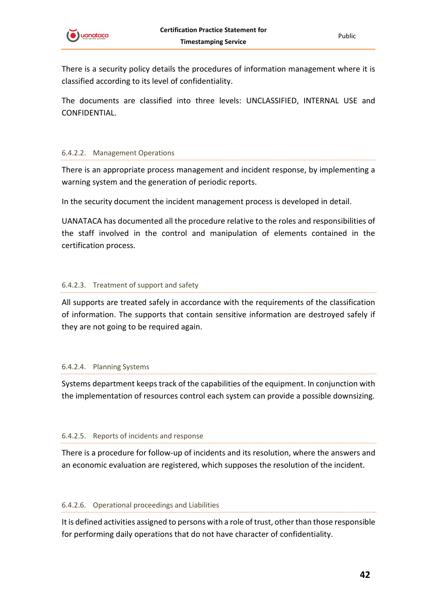

There is a security policy details the procedures of information management where it is classified according to its level of confidentiality.

The documents are classified into three levels: UNCLASSIFIED, INTERNAL USE and CONFIDENTIAL.

#### <span id="page-41-0"></span>6.4.2.2. Management Operations

There is an appropriate process management and incident response, by implementing a warning system and the generation of periodic reports.

In the security document the incident management process is developed in detail.

UANATACA has documented all the procedure relative to the roles and responsibilities of the staff involved in the control and manipulation of elements contained in the certification process.

#### <span id="page-41-1"></span>6.4.2.3. Treatment of support and safety

All supports are treated safely in accordance with the requirements of the classification of information. The supports that contain sensitive information are destroyed safely if they are not going to be required again.

#### <span id="page-41-2"></span>6.4.2.4. Planning Systems

Systems department keeps track of the capabilities of the equipment. In conjunction with the implementation of resources control each system can provide a possible downsizing.

#### <span id="page-41-3"></span>6.4.2.5. Reports of incidents and response

There is a procedure for follow-up of incidents and its resolution, where the answers and an economic evaluation are registered, which supposes the resolution of the incident.

#### <span id="page-41-4"></span>6.4.2.6. Operational proceedings and Liabilities

It is defined activities assigned to persons with a role of trust, other than those responsible for performing daily operations that do not have character of confidentiality.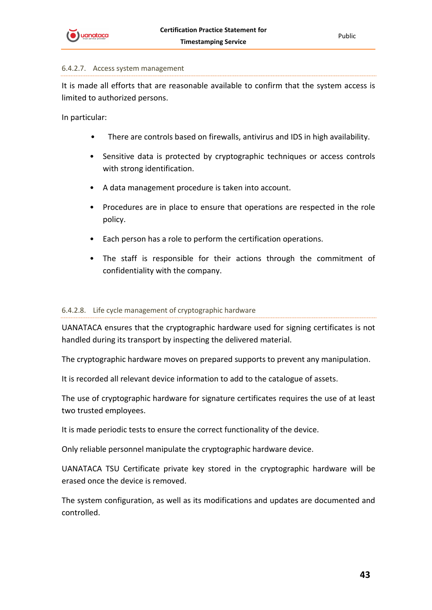

#### <span id="page-42-0"></span>6.4.2.7. Access system management

It is made all efforts that are reasonable available to confirm that the system access is limited to authorized persons.

In particular:

- There are controls based on firewalls, antivirus and IDS in high availability.
- Sensitive data is protected by cryptographic techniques or access controls with strong identification.
- A data management procedure is taken into account.
- Procedures are in place to ensure that operations are respected in the role policy.
- Each person has a role to perform the certification operations.
- The staff is responsible for their actions through the commitment of confidentiality with the company.

#### <span id="page-42-1"></span>6.4.2.8. Life cycle management of cryptographic hardware

UANATACA ensures that the cryptographic hardware used for signing certificates is not handled during its transport by inspecting the delivered material.

The cryptographic hardware moves on prepared supports to prevent any manipulation.

It is recorded all relevant device information to add to the catalogue of assets.

The use of cryptographic hardware for signature certificates requires the use of at least two trusted employees.

It is made periodic tests to ensure the correct functionality of the device.

Only reliable personnel manipulate the cryptographic hardware device.

UANATACA TSU Certificate private key stored in the cryptographic hardware will be erased once the device is removed.

The system configuration, as well as its modifications and updates are documented and controlled.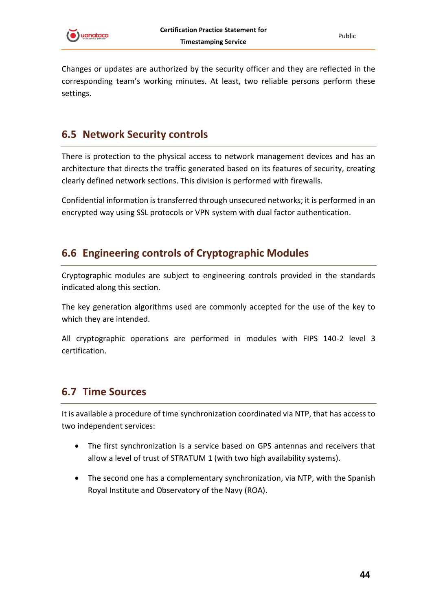

Changes or updates are authorized by the security officer and they are reflected in the corresponding team's working minutes. At least, two reliable persons perform these settings.

# <span id="page-43-0"></span>**6.5 Network Security controls**

There is protection to the physical access to network management devices and has an architecture that directs the traffic generated based on its features of security, creating clearly defined network sections. This division is performed with firewalls.

Confidential information is transferred through unsecured networks; it is performed in an encrypted way using SSL protocols or VPN system with dual factor authentication.

# <span id="page-43-1"></span>**6.6 Engineering controls of Cryptographic Modules**

Cryptographic modules are subject to engineering controls provided in the standards indicated along this section.

The key generation algorithms used are commonly accepted for the use of the key to which they are intended.

All cryptographic operations are performed in modules with FIPS 140-2 level 3 certification.

# <span id="page-43-2"></span>**6.7 Time Sources**

It is available a procedure of time synchronization coordinated via NTP, that has access to two independent services:

- The first synchronization is a service based on GPS antennas and receivers that allow a level of trust of STRATUM 1 (with two high availability systems).
- The second one has a complementary synchronization, via NTP, with the Spanish Royal Institute and Observatory of the Navy (ROA).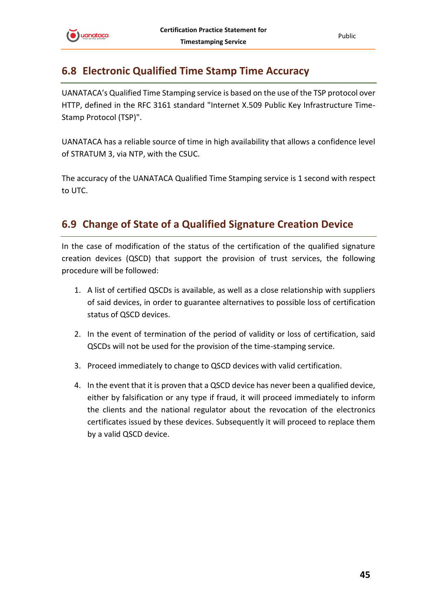

# <span id="page-44-0"></span>**6.8 Electronic Qualified Time Stamp Time Accuracy**

UANATACA's Qualified Time Stamping service is based on the use of the TSP protocol over HTTP, defined in the RFC 3161 standard "Internet X.509 Public Key Infrastructure Time-Stamp Protocol (TSP)".

UANATACA has a reliable source of time in high availability that allows a confidence level of STRATUM 3, via NTP, with the CSUC.

The accuracy of the UANATACA Qualified Time Stamping service is 1 second with respect to UTC.

# <span id="page-44-1"></span>**6.9 Change of State of a Qualified Signature Creation Device**

In the case of modification of the status of the certification of the qualified signature creation devices (QSCD) that support the provision of trust services, the following procedure will be followed:

- 1. A list of certified QSCDs is available, as well as a close relationship with suppliers of said devices, in order to guarantee alternatives to possible loss of certification status of QSCD devices.
- 2. In the event of termination of the period of validity or loss of certification, said QSCDs will not be used for the provision of the time-stamping service.
- 3. Proceed immediately to change to QSCD devices with valid certification.
- 4. In the event that it is proven that a QSCD device has never been a qualified device, either by falsification or any type if fraud, it will proceed immediately to inform the clients and the national regulator about the revocation of the electronics certificates issued by these devices. Subsequently it will proceed to replace them by a valid QSCD device.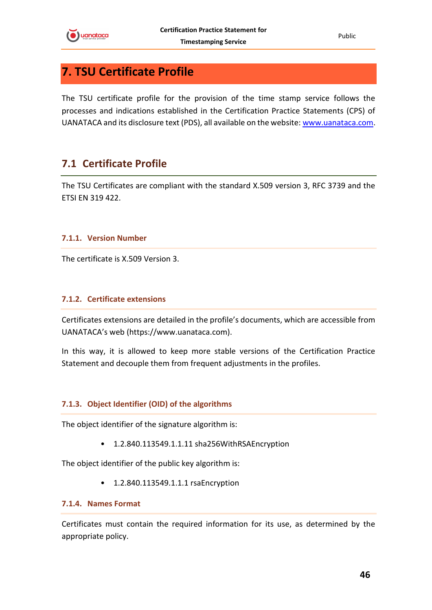

Public

# <span id="page-45-0"></span>**7. TSU Certificate Profile**

The TSU certificate profile for the provision of the time stamp service follows the processes and indications established in the Certification Practice Statements (CPS) of UANATACA and its disclosure text (PDS), all available on the website: [www.uanataca.com.](http://www.uanataca.com/)

# <span id="page-45-1"></span>**7.1 Certificate Profile**

The TSU Certificates are compliant with the standard X.509 version 3, RFC 3739 and the ETSI EN 319 422.

#### <span id="page-45-2"></span>**7.1.1. Version Number**

The certificate is X.509 Version 3.

#### <span id="page-45-3"></span>**7.1.2. Certificate extensions**

Certificates extensions are detailed in the profile's documents, which are accessible from UANATACA's web (https://www.uanataca.com).

In this way, it is allowed to keep more stable versions of the Certification Practice Statement and decouple them from frequent adjustments in the profiles.

#### <span id="page-45-4"></span>**7.1.3. Object Identifier (OID) of the algorithms**

The object identifier of the signature algorithm is:

• 1.2.840.113549.1.1.11 sha256WithRSAEncryption

The object identifier of the public key algorithm is:

• 1.2.840.113549.1.1.1 rsaEncryption

#### <span id="page-45-5"></span>**7.1.4. Names Format**

Certificates must contain the required information for its use, as determined by the appropriate policy.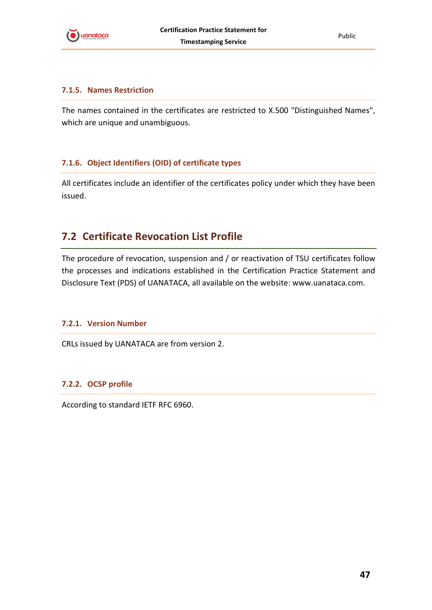

#### <span id="page-46-0"></span>**7.1.5. Names Restriction**

The names contained in the certificates are restricted to X.500 "Distinguished Names", which are unique and unambiguous.

#### <span id="page-46-1"></span>**7.1.6. Object Identifiers (OID) of certificate types**

All certificates include an identifier of the certificates policy under which they have been issued.

# <span id="page-46-2"></span>**7.2 Certificate Revocation List Profile**

The procedure of revocation, suspension and / or reactivation of TSU certificates follow the processes and indications established in the Certification Practice Statement and Disclosure Text (PDS) of UANATACA, all available on the website: www.uanataca.com.

#### <span id="page-46-3"></span>**7.2.1. Version Number**

CRLs issued by UANATACA are from version 2.

#### <span id="page-46-4"></span>**7.2.2. OCSP profile**

According to standard IETF RFC 6960.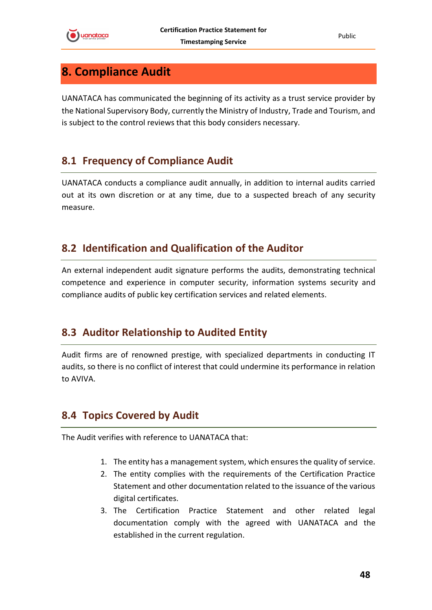

Public

# <span id="page-47-0"></span>**8. Compliance Audit**

UANATACA has communicated the beginning of its activity as a trust service provider by the National Supervisory Body, currently the Ministry of Industry, Trade and Tourism, and is subject to the control reviews that this body considers necessary.

# <span id="page-47-1"></span>**8.1 Frequency of Compliance Audit**

UANATACA conducts a compliance audit annually, in addition to internal audits carried out at its own discretion or at any time, due to a suspected breach of any security measure.

# <span id="page-47-2"></span>**8.2 Identification and Qualification of the Auditor**

An external independent audit signature performs the audits, demonstrating technical competence and experience in computer security, information systems security and compliance audits of public key certification services and related elements.

# <span id="page-47-3"></span>**8.3 Auditor Relationship to Audited Entity**

Audit firms are of renowned prestige, with specialized departments in conducting IT audits, so there is no conflict of interest that could undermine its performance in relation to AVIVA.

# <span id="page-47-4"></span>**8.4 Topics Covered by Audit**

The Audit verifies with reference to UANATACA that:

- 1. The entity has a management system, which ensures the quality of service.
- 2. The entity complies with the requirements of the Certification Practice Statement and other documentation related to the issuance of the various digital certificates.
- 3. The Certification Practice Statement and other related legal documentation comply with the agreed with UANATACA and the established in the current regulation.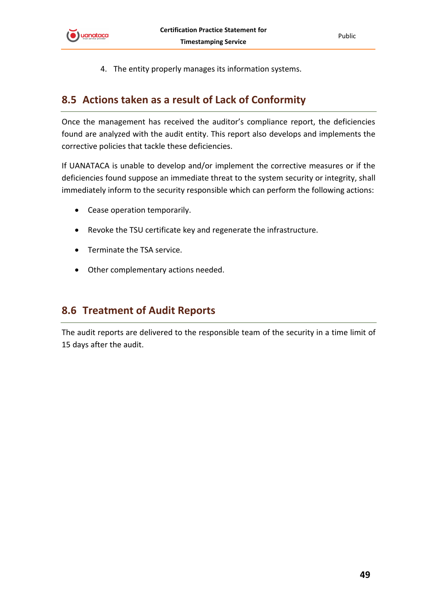

4. The entity properly manages its information systems.

# <span id="page-48-0"></span>**8.5 Actions taken as a result of Lack of Conformity**

Once the management has received the auditor's compliance report, the deficiencies found are analyzed with the audit entity. This report also develops and implements the corrective policies that tackle these deficiencies.

If UANATACA is unable to develop and/or implement the corrective measures or if the deficiencies found suppose an immediate threat to the system security or integrity, shall immediately inform to the security responsible which can perform the following actions:

- Cease operation temporarily.
- Revoke the TSU certificate key and regenerate the infrastructure.
- Terminate the TSA service.
- Other complementary actions needed.

## <span id="page-48-1"></span>**8.6 Treatment of Audit Reports**

The audit reports are delivered to the responsible team of the security in a time limit of 15 days after the audit.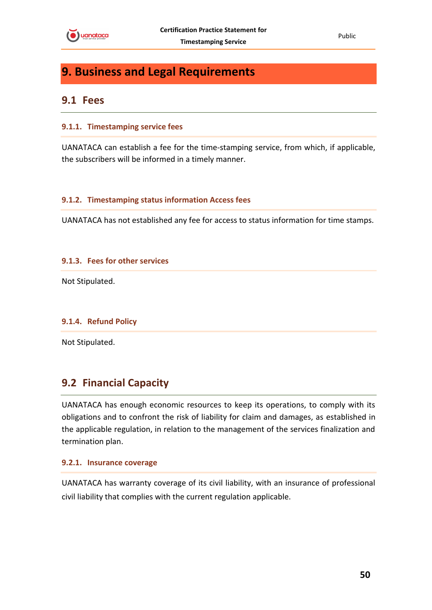

# <span id="page-49-0"></span>**9. Business and Legal Requirements**

### <span id="page-49-1"></span>**9.1 Fees**

#### <span id="page-49-2"></span>**9.1.1. Timestamping service fees**

UANATACA can establish a fee for the time-stamping service, from which, if applicable, the subscribers will be informed in a timely manner.

#### <span id="page-49-3"></span>**9.1.2. Timestamping status information Access fees**

UANATACA has not established any fee for access to status information for time stamps.

#### <span id="page-49-4"></span>**9.1.3. Fees for other services**

Not Stipulated.

#### <span id="page-49-5"></span>**9.1.4. Refund Policy**

Not Stipulated.

# <span id="page-49-6"></span>**9.2 Financial Capacity**

UANATACA has enough economic resources to keep its operations, to comply with its obligations and to confront the risk of liability for claim and damages, as established in the applicable regulation, in relation to the management of the services finalization and termination plan.

#### <span id="page-49-7"></span>**9.2.1. Insurance coverage**

UANATACA has warranty coverage of its civil liability, with an insurance of professional civil liability that complies with the current regulation applicable.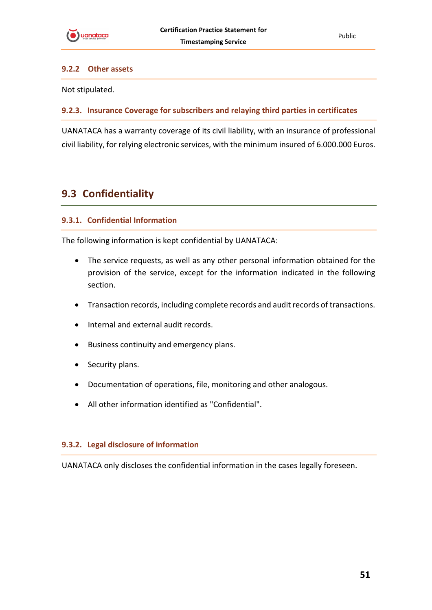#### <span id="page-50-0"></span>**9.2.2 Other assets**

Not stipulated.

#### <span id="page-50-1"></span>**9.2.3. Insurance Coverage for subscribers and relaying third parties in certificates**

UANATACA has a warranty coverage of its civil liability, with an insurance of professional civil liability, for relying electronic services, with the minimum insured of 6.000.000 Euros.

# <span id="page-50-2"></span>**9.3 Confidentiality**

#### <span id="page-50-3"></span>**9.3.1. Confidential Information**

The following information is kept confidential by UANATACA:

- The service requests, as well as any other personal information obtained for the provision of the service, except for the information indicated in the following section.
- Transaction records, including complete records and audit records of transactions.
- Internal and external audit records.
- Business continuity and emergency plans.
- Security plans.
- Documentation of operations, file, monitoring and other analogous.
- All other information identified as "Confidential".

#### <span id="page-50-4"></span>**9.3.2. Legal disclosure of information**

UANATACA only discloses the confidential information in the cases legally foreseen.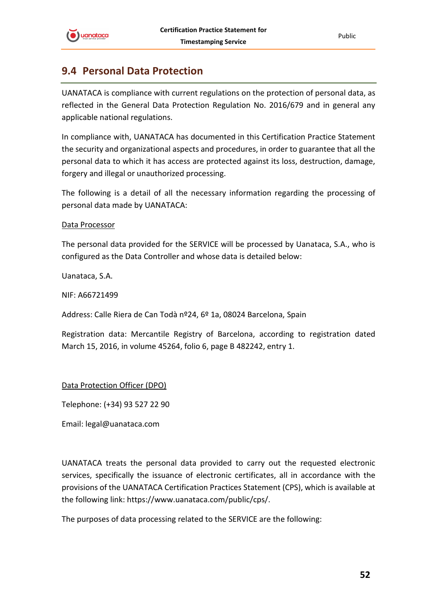

# <span id="page-51-0"></span>**9.4 Personal Data Protection**

UANATACA is compliance with current regulations on the protection of personal data, as reflected in the General Data Protection Regulation No. 2016/679 and in general any applicable national regulations.

In compliance with, UANATACA has documented in this Certification Practice Statement the security and organizational aspects and procedures, in order to guarantee that all the personal data to which it has access are protected against its loss, destruction, damage, forgery and illegal or unauthorized processing.

The following is a detail of all the necessary information regarding the processing of personal data made by UANATACA:

#### Data Processor

The personal data provided for the SERVICE will be processed by Uanataca, S.A., who is configured as the Data Controller and whose data is detailed below:

Uanataca, S.A.

NIF: A66721499

Address: Calle Riera de Can Todà nº24, 6º 1a, 08024 Barcelona, Spain

Registration data: Mercantile Registry of Barcelona, according to registration dated March 15, 2016, in volume 45264, folio 6, page B 482242, entry 1.

Data Protection Officer (DPO)

Telephone: (+34) 93 527 22 90

Email: legal@uanataca.com

UANATACA treats the personal data provided to carry out the requested electronic services, specifically the issuance of electronic certificates, all in accordance with the provisions of the UANATACA Certification Practices Statement (CPS), which is available at the following link: https://www.uanataca.com/public/cps/.

The purposes of data processing related to the SERVICE are the following: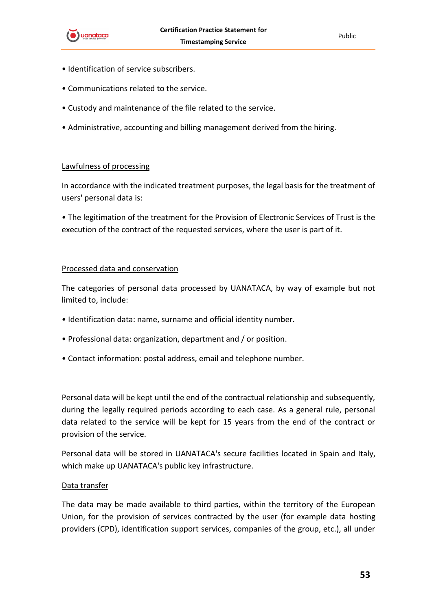

- Identification of service subscribers.
- Communications related to the service.
- Custody and maintenance of the file related to the service.
- Administrative, accounting and billing management derived from the hiring.

#### Lawfulness of processing

In accordance with the indicated treatment purposes, the legal basis for the treatment of users' personal data is:

• The legitimation of the treatment for the Provision of Electronic Services of Trust is the execution of the contract of the requested services, where the user is part of it.

#### Processed data and conservation

The categories of personal data processed by UANATACA, by way of example but not limited to, include:

- Identification data: name, surname and official identity number.
- Professional data: organization, department and / or position.
- Contact information: postal address, email and telephone number.

Personal data will be kept until the end of the contractual relationship and subsequently, during the legally required periods according to each case. As a general rule, personal data related to the service will be kept for 15 years from the end of the contract or provision of the service.

Personal data will be stored in UANATACA's secure facilities located in Spain and Italy, which make up UANATACA's public key infrastructure.

#### Data transfer

The data may be made available to third parties, within the territory of the European Union, for the provision of services contracted by the user (for example data hosting providers (CPD), identification support services, companies of the group, etc.), all under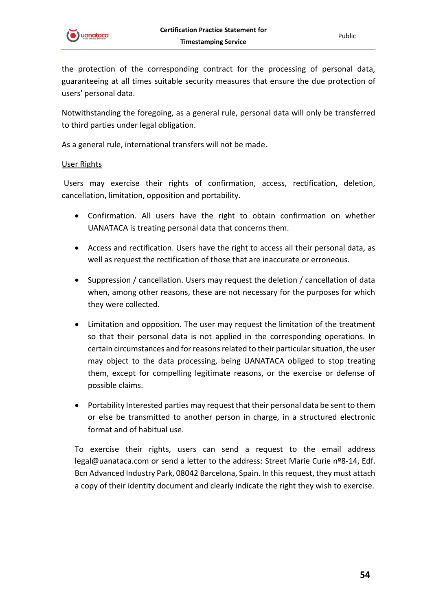

the protection of the corresponding contract for the processing of personal data, guaranteeing at all times suitable security measures that ensure the due protection of users' personal data.

Notwithstanding the foregoing, as a general rule, personal data will only be transferred to third parties under legal obligation.

As a general rule, international transfers will not be made.

#### User Rights

Users may exercise their rights of confirmation, access, rectification, deletion, cancellation, limitation, opposition and portability.

- Confirmation. All users have the right to obtain confirmation on whether UANATACA is treating personal data that concerns them.
- Access and rectification. Users have the right to access all their personal data, as well as request the rectification of those that are inaccurate or erroneous.
- Suppression / cancellation. Users may request the deletion / cancellation of data when, among other reasons, these are not necessary for the purposes for which they were collected.
- Limitation and opposition. The user may request the limitation of the treatment so that their personal data is not applied in the corresponding operations. In certain circumstances and for reasons related to their particular situation, the user may object to the data processing, being UANATACA obliged to stop treating them, except for compelling legitimate reasons, or the exercise or defense of possible claims.
- Portability Interested parties may request that their personal data be sent to them or else be transmitted to another person in charge, in a structured electronic format and of habitual use.

To exercise their rights, users can send a request to the email address legal@uanataca.com or send a letter to the address: Street Marie Curie nº8-14, Edf. Bcn Advanced Industry Park, 08042 Barcelona, Spain. In this request, they must attach a copy of their identity document and clearly indicate the right they wish to exercise.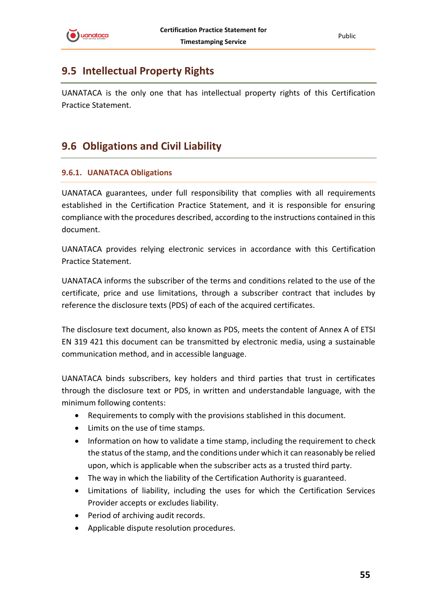# <span id="page-54-0"></span>**9.5 Intellectual Property Rights**

UANATACA is the only one that has intellectual property rights of this Certification Practice Statement.

# <span id="page-54-1"></span>**9.6 Obligations and Civil Liability**

#### <span id="page-54-2"></span>**9.6.1. UANATACA Obligations**

UANATACA guarantees, under full responsibility that complies with all requirements established in the Certification Practice Statement, and it is responsible for ensuring compliance with the procedures described, according to the instructions contained in this document.

UANATACA provides relying electronic services in accordance with this Certification Practice Statement.

UANATACA informs the subscriber of the terms and conditions related to the use of the certificate, price and use limitations, through a subscriber contract that includes by reference the disclosure texts (PDS) of each of the acquired certificates.

The disclosure text document, also known as PDS, meets the content of Annex A of ETSI EN 319 421 this document can be transmitted by electronic media, using a sustainable communication method, and in accessible language.

UANATACA binds subscribers, key holders and third parties that trust in certificates through the disclosure text or PDS, in written and understandable language, with the minimum following contents:

- Requirements to comply with the provisions stablished in this document.
- Limits on the use of time stamps.
- Information on how to validate a time stamp, including the requirement to check the status of the stamp, and the conditions under which it can reasonably be relied upon, which is applicable when the subscriber acts as a trusted third party.
- The way in which the liability of the Certification Authority is guaranteed.
- Limitations of liability, including the uses for which the Certification Services Provider accepts or excludes liability.
- Period of archiving audit records.
- Applicable dispute resolution procedures.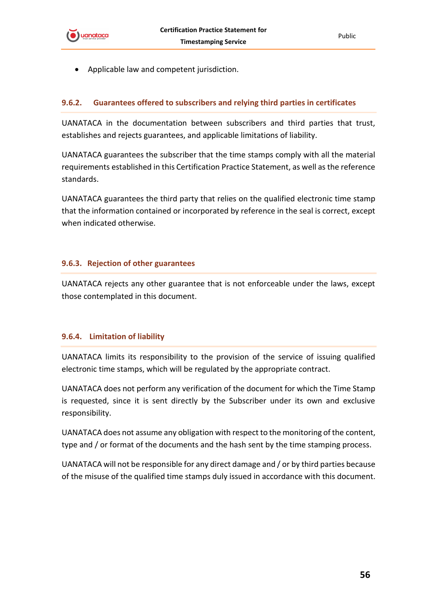

<span id="page-55-0"></span>• Applicable law and competent jurisdiction.

#### **9.6.2. Guarantees offered to subscribers and relying third parties in certificates**

UANATACA in the documentation between subscribers and third parties that trust, establishes and rejects guarantees, and applicable limitations of liability.

UANATACA guarantees the subscriber that the time stamps comply with all the material requirements established in this Certification Practice Statement, as well as the reference standards.

UANATACA guarantees the third party that relies on the qualified electronic time stamp that the information contained or incorporated by reference in the seal is correct, except when indicated otherwise.

#### <span id="page-55-1"></span>**9.6.3. Rejection of other guarantees**

UANATACA rejects any other guarantee that is not enforceable under the laws, except those contemplated in this document.

#### <span id="page-55-2"></span>**9.6.4. Limitation of liability**

UANATACA limits its responsibility to the provision of the service of issuing qualified electronic time stamps, which will be regulated by the appropriate contract.

UANATACA does not perform any verification of the document for which the Time Stamp is requested, since it is sent directly by the Subscriber under its own and exclusive responsibility.

UANATACA does not assume any obligation with respect to the monitoring of the content, type and / or format of the documents and the hash sent by the time stamping process.

UANATACA will not be responsible for any direct damage and / or by third parties because of the misuse of the qualified time stamps duly issued in accordance with this document.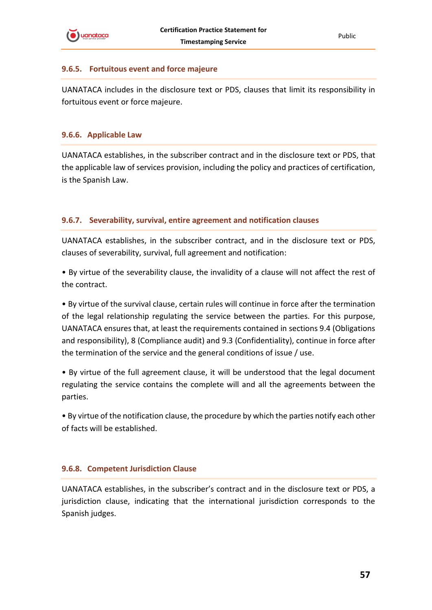

#### <span id="page-56-0"></span>**9.6.5. Fortuitous event and force majeure**

UANATACA includes in the disclosure text or PDS, clauses that limit its responsibility in fortuitous event or force majeure.

#### <span id="page-56-1"></span>**9.6.6. Applicable Law**

UANATACA establishes, in the subscriber contract and in the disclosure text or PDS, that the applicable law of services provision, including the policy and practices of certification, is the Spanish Law.

#### <span id="page-56-2"></span>**9.6.7. Severability, survival, entire agreement and notification clauses**

UANATACA establishes, in the subscriber contract, and in the disclosure text or PDS, clauses of severability, survival, full agreement and notification:

• By virtue of the severability clause, the invalidity of a clause will not affect the rest of the contract.

• By virtue of the survival clause, certain rules will continue in force after the termination of the legal relationship regulating the service between the parties. For this purpose, UANATACA ensures that, at least the requirements contained in sections 9.4 (Obligations and responsibility), 8 (Compliance audit) and 9.3 (Confidentiality), continue in force after the termination of the service and the general conditions of issue / use.

• By virtue of the full agreement clause, it will be understood that the legal document regulating the service contains the complete will and all the agreements between the parties.

• By virtue of the notification clause, the procedure by which the parties notify each other of facts will be established.

#### <span id="page-56-3"></span>**9.6.8. Competent Jurisdiction Clause**

UANATACA establishes, in the subscriber's contract and in the disclosure text or PDS, a jurisdiction clause, indicating that the international jurisdiction corresponds to the Spanish judges.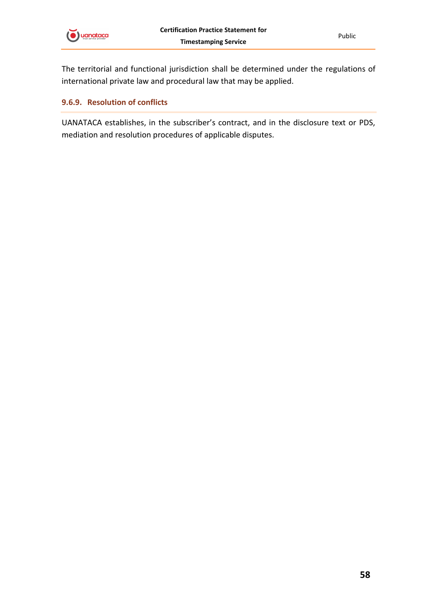

The territorial and functional jurisdiction shall be determined under the regulations of international private law and procedural law that may be applied.

#### <span id="page-57-0"></span>**9.6.9. Resolution of conflicts**

UANATACA establishes, in the subscriber's contract, and in the disclosure text or PDS, mediation and resolution procedures of applicable disputes.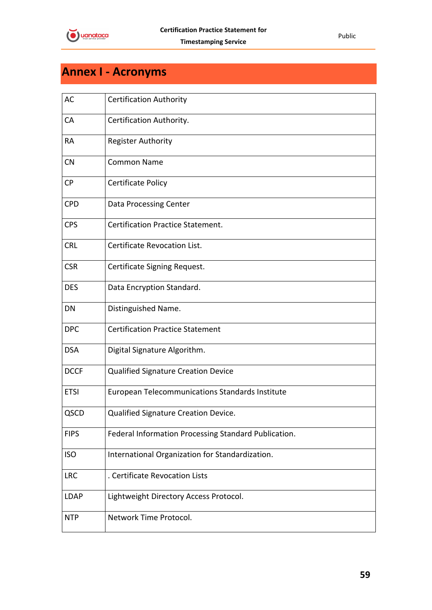

# <span id="page-58-0"></span>**Annex I - Acronyms**

| <b>AC</b>   | <b>Certification Authority</b>                       |
|-------------|------------------------------------------------------|
| CA          | Certification Authority.                             |
| RA          | <b>Register Authority</b>                            |
| <b>CN</b>   | <b>Common Name</b>                                   |
| <b>CP</b>   | Certificate Policy                                   |
| <b>CPD</b>  | Data Processing Center                               |
| <b>CPS</b>  | <b>Certification Practice Statement.</b>             |
| <b>CRL</b>  | Certificate Revocation List.                         |
| <b>CSR</b>  | Certificate Signing Request.                         |
| <b>DES</b>  | Data Encryption Standard.                            |
| DN          | Distinguished Name.                                  |
| <b>DPC</b>  | <b>Certification Practice Statement</b>              |
| <b>DSA</b>  | Digital Signature Algorithm.                         |
| <b>DCCF</b> | <b>Qualified Signature Creation Device</b>           |
| <b>ETSI</b> | European Telecommunications Standards Institute      |
| QSCD        | Qualified Signature Creation Device.                 |
| <b>FIPS</b> | Federal Information Processing Standard Publication. |
| <b>ISO</b>  | International Organization for Standardization.      |
| <b>LRC</b>  | . Certificate Revocation Lists                       |
| <b>LDAP</b> | Lightweight Directory Access Protocol.               |
| <b>NTP</b>  | Network Time Protocol.                               |